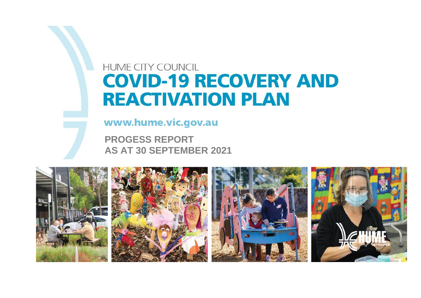### **HUME CITY COUNCIL COVID-19 RECOVERY AND REACTIVATION PLAN**

www.hume.vic.gov.au

**PROGESS REPORT AS AT 30 SEPTEMBER 2021**

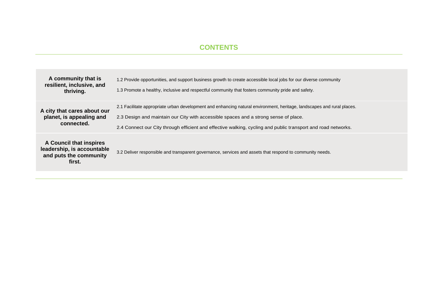#### **CONTENTS**

| A community that is<br>resilient, inclusive, and<br>thriving.                             | 1.2 Provide opportunities, and support business growth to create accessible local jobs for our diverse community<br>1.3 Promote a healthy, inclusive and respectful community that fosters community pride and safety.                                                                                                          |
|-------------------------------------------------------------------------------------------|---------------------------------------------------------------------------------------------------------------------------------------------------------------------------------------------------------------------------------------------------------------------------------------------------------------------------------|
| A city that cares about our<br>planet, is appealing and<br>connected.                     | 2.1 Facilitate appropriate urban development and enhancing natural environment, heritage, landscapes and rural places.<br>2.3 Design and maintain our City with accessible spaces and a strong sense of place.<br>2.4 Connect our City through efficient and effective walking, cycling and public transport and road networks. |
| A Council that inspires<br>leadership, is accountable<br>and puts the community<br>first. | 3.2 Deliver responsible and transparent governance, services and assets that respond to community needs.                                                                                                                                                                                                                        |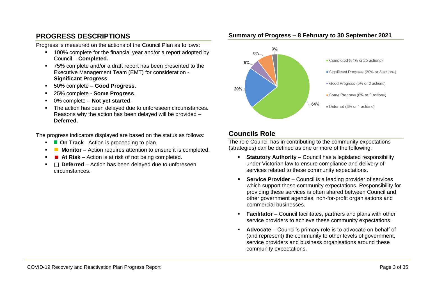#### **PROGRESS DESCRIPTIONS**

Progress is measured on the actions of the Council Plan as follows:

- 100% complete for the financial year and/or a report adopted by Council – **Completed.**
- 75% complete and/or a draft report has been presented to the Executive Management Team (EMT) for consideration - **Significant Progress**.
- 50% complete **Good Progress.**
- 25% complete **Some Progress**.
- 0% complete **Not yet started**.
- The action has been delayed due to unforeseen circumstances. Reasons why the action has been delayed will be provided – **Deferred.**

The progress indicators displayed are based on the status as follows:

- **On Track** –Action is proceeding to plan.
- **Monitor** Action requires attention to ensure it is completed.
- At Risk Action is at risk of not being completed.
- □ Deferred Action has been delayed due to unforeseen circumstances.



#### **Summary of Progress – 8 February to 30 September 2021**

#### **Councils Role**

The role Council has in contributing to the community expectations (strategies) can be defined as one or more of the following:

- **Statutory Authority**  Council has a legislated responsibility under Victorian law to ensure compliance and delivery of services related to these community expectations.
- **EXECT:** Service Provider Council is a leading provider of services which support these community expectations. Responsibility for providing these services is often shared between Council and other government agencies, non-for-profit organisations and commercial businesses.
- **Facilitator** Council facilitates, partners and plans with other service providers to achieve these community expectations.
- **Advocate** Council's primary role is to advocate on behalf of (and represent) the community to other levels of government, service providers and business organisations around these community expectations.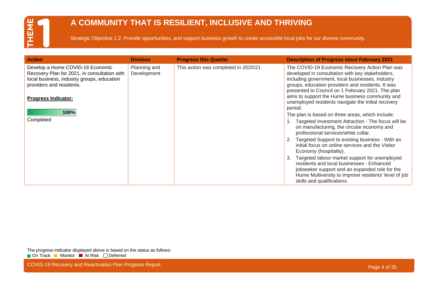### **A COMMUNITY THAT IS RESILIENT, INCLUSIVE AND THRIVING**

Strategic Objective 1.2: Provide opportunities, and support business growth to create accessible local jobs for our diverse community.

| <b>Action</b>                                                                                                                                                                            | <b>Division</b>             | <b>Progress this Quarter</b>          | <b>Description of Progress since February 2021</b>                                                                                                                                                                                                                                                                                                                        |
|------------------------------------------------------------------------------------------------------------------------------------------------------------------------------------------|-----------------------------|---------------------------------------|---------------------------------------------------------------------------------------------------------------------------------------------------------------------------------------------------------------------------------------------------------------------------------------------------------------------------------------------------------------------------|
| Develop a Hume COVID-19 Economic<br>Recovery Plan for 2021, in consultation with<br>local business, industry groups, education<br>providers and residents.<br><b>Progress Indicator:</b> | Planning and<br>Development | This action was completed in 2020/21. | The COVID-19 Economic Recovery Action Plan was<br>developed in consultation with key stakeholders,<br>including government, local businesses, industry<br>groups, education providers and residents. It was<br>presented to Council on 1 February 2021. The plan<br>aims to support the Hume business community and<br>unemployed residents navigate the initial recovery |
| 100%<br>Completed                                                                                                                                                                        |                             |                                       | period.<br>The plan is based on three areas, which include:<br>Targeted Investment Attraction - The focus will be<br>on manufacturing, the circular economy and<br>professional services/white collar.<br>Targeted Support to existing business - With an<br>initial focus on online services and the Visitor<br>Economy (hospitality).                                   |
|                                                                                                                                                                                          |                             |                                       | Targeted labour market support for unemployed<br>3.<br>residents and local businesses - Enhanced<br>jobseeker support and an expanded role for the<br>Hume Multiversity to improve residents' level of job<br>skills and qualifications.                                                                                                                                  |

The progress indicator displayed above is based on the status as follows: On Track Monitor At Risk Deferred

COVID-19 Recovery and Reactivation Plan Progress Report **Page 4 of 35** and 200 km and 200 km and 200 km and 200 km and 200 km and 200 km and 200 km and 200 km and 200 km and 200 km and 200 km and 200 km and 200 km and 200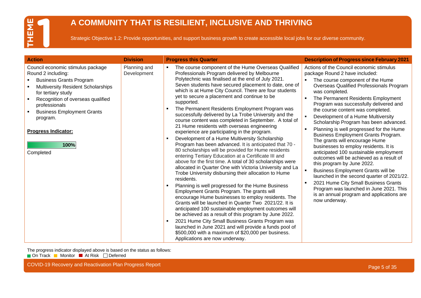### **A COMMUNITY THAT IS RESILIENT, INCLUSIVE AND THRIVING**

Strategic Objective 1.2: Provide opportunities, and support business growth to create accessible local jobs for our diverse community.

| <b>Action</b>                                                                                                                                                                                                                                                                                                          | <b>Division</b>             | <b>Progress this Quarter</b>                                                                                                                                                                                                                                                                                                                                                                                                                                                                                                                                                                                                                                                                                                                                                                                                                                                                                                                                                                                                                                                                                                                                                                                                                                                                                                                                                                                                                                                                                                                                                                            | <b>Description of Progress since February 2021</b>                                                                                                                                                                                                                                                                                                                                                                                                                                                                                                                                                                                                                                                                                                                                                                                                                                                                                                     |
|------------------------------------------------------------------------------------------------------------------------------------------------------------------------------------------------------------------------------------------------------------------------------------------------------------------------|-----------------------------|---------------------------------------------------------------------------------------------------------------------------------------------------------------------------------------------------------------------------------------------------------------------------------------------------------------------------------------------------------------------------------------------------------------------------------------------------------------------------------------------------------------------------------------------------------------------------------------------------------------------------------------------------------------------------------------------------------------------------------------------------------------------------------------------------------------------------------------------------------------------------------------------------------------------------------------------------------------------------------------------------------------------------------------------------------------------------------------------------------------------------------------------------------------------------------------------------------------------------------------------------------------------------------------------------------------------------------------------------------------------------------------------------------------------------------------------------------------------------------------------------------------------------------------------------------------------------------------------------------|--------------------------------------------------------------------------------------------------------------------------------------------------------------------------------------------------------------------------------------------------------------------------------------------------------------------------------------------------------------------------------------------------------------------------------------------------------------------------------------------------------------------------------------------------------------------------------------------------------------------------------------------------------------------------------------------------------------------------------------------------------------------------------------------------------------------------------------------------------------------------------------------------------------------------------------------------------|
| Council economic stimulus package<br>Round 2 including:<br><b>Business Grants Program</b><br><b>Multiversity Resident Scholarships</b><br>for tertiary study<br>Recognition of overseas qualified<br>professionals<br><b>Business Employment Grants</b><br>program.<br><b>Progress Indicator:</b><br>100%<br>Completed | Planning and<br>Development | The course component of the Hume Overseas Qualified<br>Professionals Program delivered by Melbourne<br>Polytechnic was finalised at the end of July 2021.<br>Seven students have secured placement to date, one of<br>which is at Hume City Council. There are four students<br>yet to secure a placement and continue to be<br>supported.<br>The Permanent Residents Employment Program was<br>successfully delivered by La Trobe University and the<br>course content was completed in September. A total of<br>21 Hume residents with overseas engineering<br>experience are participating in the program.<br>Development of a Hume Multiversity Scholarship<br>٠<br>Program has been advanced. It is anticipated that 70 -<br>80 scholarships will be provided for Hume residents<br>entering Tertiary Education at a Certificate III and<br>above for the first time. A total of 30 scholarships were<br>allocated in Quarter One with Victoria University and La<br>Trobe University disbursing their allocation to Hume<br>residents.<br>Planning is well progressed for the Hume Business<br>Employment Grants Program. The grants will<br>encourage Hume businesses to employ residents. The<br>Grants will be launched in Quarter Two 2021/22. It is<br>anticipated 100 sustainable employment outcomes will<br>be achieved as a result of this program by June 2022.<br>2021 Hume City Small Business Grants Program was<br>$\blacksquare$<br>launched in June 2021 and will provide a funds pool of<br>\$500,000 with a maximum of \$20,000 per business.<br>Applications are now underway. | Actions of the Council economic stimulus<br>package Round 2 have included:<br>The course component of the Hume<br>$\blacksquare$<br>Overseas Qualified Professionals Program<br>was completed.<br>The Permanent Residents Employment<br>Program was successfully delivered and<br>the course content was completed.<br>$\mathbf{r}$<br>Development of a Hume Multiversity<br>Scholarship Program has been advanced.<br>Planning is well progressed for the Hume<br>Business Employment Grants Program.<br>The grants will encourage Hume<br>businesses to employ residents. It is<br>anticipated 100 sustainable employment<br>outcomes will be achieved as a result of<br>this program by June 2022.<br><b>Business Employment Grants will be</b><br>launched in the second quarter of 2021/22.<br>2021 Hume City Small Business Grants<br>٠<br>Program was launched in June 2021. This<br>is an annual program and applications are<br>now underway. |

The progress indicator displayed above is based on the status as follows:

On Track Monitor At Risk Deferred

COVID-19 Recovery and Reactivation Plan Progress Report **Page 1966** Covid-19 and 2001 COVID-19 Recovery and Reactivation Plan Progress Report Page 5 of 35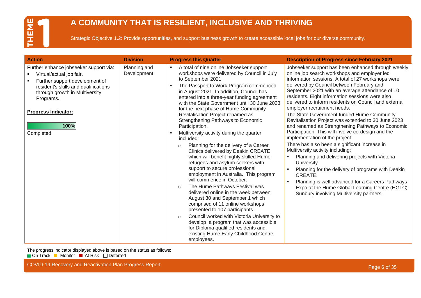### **A COMMUNITY THAT IS RESILIENT, INCLUSIVE AND THRIVING**

Strategic Objective 1.2: Provide opportunities, and support business growth to create accessible local jobs for our diverse community.

| <b>Action</b>                                                                                                                                                                                                                                  | <b>Division</b>             | <b>Progress this Quarter</b>                                                                                                                                                                                                                                                                                                                                                                                                                                                                                                                                                                                                                                                                                                                                                                                                                                                                                                                                                                                                                                                                                                                                                                    | <b>Description of Progress since February 2021</b>                                                                                                                                                                                                                                                                                                                                                                                                                                                                                                                                                                                                                                                                                                                                                                                                                                                                                                                                                                            |
|------------------------------------------------------------------------------------------------------------------------------------------------------------------------------------------------------------------------------------------------|-----------------------------|-------------------------------------------------------------------------------------------------------------------------------------------------------------------------------------------------------------------------------------------------------------------------------------------------------------------------------------------------------------------------------------------------------------------------------------------------------------------------------------------------------------------------------------------------------------------------------------------------------------------------------------------------------------------------------------------------------------------------------------------------------------------------------------------------------------------------------------------------------------------------------------------------------------------------------------------------------------------------------------------------------------------------------------------------------------------------------------------------------------------------------------------------------------------------------------------------|-------------------------------------------------------------------------------------------------------------------------------------------------------------------------------------------------------------------------------------------------------------------------------------------------------------------------------------------------------------------------------------------------------------------------------------------------------------------------------------------------------------------------------------------------------------------------------------------------------------------------------------------------------------------------------------------------------------------------------------------------------------------------------------------------------------------------------------------------------------------------------------------------------------------------------------------------------------------------------------------------------------------------------|
| Further enhance jobseeker support via:<br>Virtual/actual job fair.<br>Further support development of<br>resident's skills and qualifications<br>through growth in Multiversity<br>Programs.<br><b>Progress Indicator:</b><br>100%<br>Completed | Planning and<br>Development | A total of nine online Jobseeker support<br>$\blacksquare$<br>workshops were delivered by Council in July<br>to September 2021.<br>The Passport to Work Program commenced<br>in August 2021. In addition, Council has<br>entered into a three-year funding agreement<br>with the State Government until 30 June 2023<br>for the next phase of Hume Community<br>Revitalisation Project renamed as<br>Strengthening Pathways to Economic<br>Participation.<br>Multiversity activity during the quarter<br>included:<br>Planning for the delivery of a Career<br>$\circ$<br>Clinics delivered by Deakin CREATE<br>which will benefit highly skilled Hume<br>refugees and asylum seekers with<br>support to secure professional<br>employment in Australia. This program<br>will commence in October.<br>The Hume Pathways Festival was<br>$\circ$<br>delivered online in the week between<br>August 30 and September 1 which<br>comprised of 11 online workshops<br>presented to 107 participants.<br>Council worked with Victoria University to<br>$\circ$<br>develop a program that was accessible<br>for Diploma qualified residents and<br>existing Hume Early Childhood Centre<br>employees. | Jobseeker support has been enhanced through weekly<br>online job search workshops and employer led<br>information sessions. A total of 27 workshops were<br>delivered by Council between February and<br>September 2021 with an average attendance of 10<br>residents. Eight information sessions were also<br>delivered to inform residents on Council and external<br>employer recruitment needs.<br>The State Government funded Hume Community<br>Revitalisation Project was extended to 30 June 2023<br>and renamed as Strengthening Pathways to Economic<br>Participation. This will involve co-design and the<br>implementation of the project.<br>There has also been a significant increase in<br>Multiversity activity including:<br>Planning and delivering projects with Victoria<br>University.<br>Planning for the delivery of programs with Deakin<br>CREATE.<br>Planning is well advanced for a Careers Pathways<br>Expo at the Hume Global Learning Centre (HGLC)<br>Sunbury involving Multiversity partners. |

The progress indicator displayed above is based on the status as follows:

On Track Monitor At Risk Deferred

COVID-19 Recovery and Reactivation Plan Progress Report **Page 6 of 35** and 200 km and 200 km and 200 km and 200 km and 200 km and 200 km and 200 km and 200 km and 200 km and 200 km and 200 km and 200 km and 200 km and 200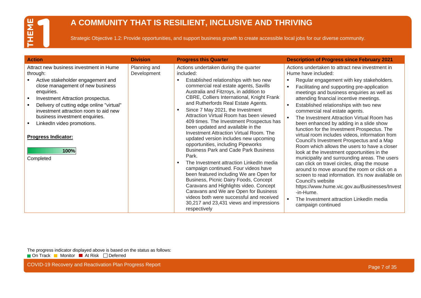### **A COMMUNITY THAT IS RESILIENT, INCLUSIVE AND THRIVING**

Strategic Objective 1.2: Provide opportunities, and support business growth to create accessible local jobs for our diverse community.

| <b>Action</b>                                                                                                                                                                                                                                                                                                                                                                            | <b>Division</b>             | <b>Progress this Quarter</b>                                                                                                                                                                                                                                                                                                                                                                                                                                                                                                                                                                                                                                                                                                                                                                                                                                                                                                                                                                               | <b>Description of Progress since February 2021</b>                                                                                                                                                                                                                                                                                                                                                                                                                                                                                                                                                                                                                                                                                                                                                                                                                                                                                                                                                                                                 |
|------------------------------------------------------------------------------------------------------------------------------------------------------------------------------------------------------------------------------------------------------------------------------------------------------------------------------------------------------------------------------------------|-----------------------------|------------------------------------------------------------------------------------------------------------------------------------------------------------------------------------------------------------------------------------------------------------------------------------------------------------------------------------------------------------------------------------------------------------------------------------------------------------------------------------------------------------------------------------------------------------------------------------------------------------------------------------------------------------------------------------------------------------------------------------------------------------------------------------------------------------------------------------------------------------------------------------------------------------------------------------------------------------------------------------------------------------|----------------------------------------------------------------------------------------------------------------------------------------------------------------------------------------------------------------------------------------------------------------------------------------------------------------------------------------------------------------------------------------------------------------------------------------------------------------------------------------------------------------------------------------------------------------------------------------------------------------------------------------------------------------------------------------------------------------------------------------------------------------------------------------------------------------------------------------------------------------------------------------------------------------------------------------------------------------------------------------------------------------------------------------------------|
| Attract new business investment in Hume<br>through:<br>Active stakeholder engagement and<br>close management of new business<br>enquiries.<br>Investment Attraction prospectus.<br>Delivery of cutting edge online "virtual"<br>investment attraction room to aid new<br>business investment enquiries.<br>LinkedIn video promotions.<br><b>Progress Indicator:</b><br>100%<br>Completed | Planning and<br>Development | Actions undertaken during the quarter<br>included:<br>Established relationships with two new<br>٠<br>commercial real estate agents, Savills<br>Australia and Fitzroys, in addition to<br>CBRE, Colliers International, Knight Frank<br>and Rutherfords Real Estate Agents.<br>Since 7 May 2021, the Investment<br>٠<br>Attraction Virtual Room has been viewed<br>409 times. The Investment Prospectus has<br>been updated and available in the<br><b>Investment Attraction Virtual Room. The</b><br>updated version includes new upcoming<br>opportunities, including Pipeworks<br><b>Business Park and Cade Park Business</b><br>Park.<br>The Investment attraction LinkedIn media<br>campaign continued. Four videos have<br>been featured including We are Open for<br>Business, Picnic Dairy Foods, Concept<br>Caravans and Highlights video. Concept<br>Caravans and We are Open for Business<br>videos both were successful and received<br>30,217 and 23,431 views and impressions<br>respectively | Actions undertaken to attract new investment in<br>Hume have included:<br>Regular engagement with key stakeholders.<br>Facilitating and supporting pre-application<br>٠<br>meetings and business enquiries as well as<br>attending financial incentive meetings.<br>Established relationships with two new<br>commercial real estate agents.<br>The Investment Attraction Virtual Room has<br>٠.<br>been enhanced by adding in a slide show<br>function for the Investment Prospectus. The<br>virtual room includes videos, information from<br>Council's Investment Prospectus and a Map<br>Room which allows the users to have a closer<br>look at the investment opportunities in the<br>municipality and surrounding areas. The users<br>can click on travel circles, drag the mouse<br>around to move around the room or click on a<br>screen to read information. It's now available on<br>Council's website<br>https://www.hume.vic.gov.au/Businesses/Invest<br>-in-Hume.<br>The Investment attraction LinkedIn media<br>campaign continued |

The progress indicator displayed above is based on the status as follows: On Track Monitor At Risk Deferred

COVID-19 Recovery and Reactivation Plan Progress Report **Page 7 of 35** and 200 km and 200 km and 200 km and 200 km and 200 km and 200 km and 200 km and 200 km and 200 km and 200 km and 200 km and 200 km and 200 km and 200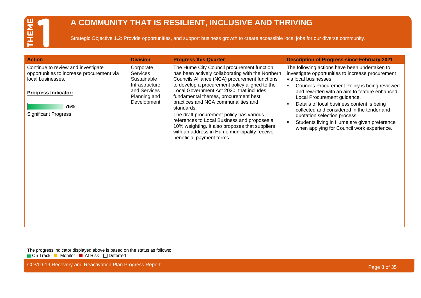### **A COMMUNITY THAT IS RESILIENT, INCLUSIVE AND THRIVING**

Strategic Objective 1.2: Provide opportunities, and support business growth to create accessible local jobs for our diverse community.

| <b>Action</b>                                                                                                                                                            | <b>Division</b>                                                                                              | <b>Progress this Quarter</b>                                                                                                                                                                                                                                                                                                                                                                                                                                                                                                                                          | <b>Description of Progress since February 2021</b>                                                                                                                                                                                                                                                                                                                                                                                                                                                                       |
|--------------------------------------------------------------------------------------------------------------------------------------------------------------------------|--------------------------------------------------------------------------------------------------------------|-----------------------------------------------------------------------------------------------------------------------------------------------------------------------------------------------------------------------------------------------------------------------------------------------------------------------------------------------------------------------------------------------------------------------------------------------------------------------------------------------------------------------------------------------------------------------|--------------------------------------------------------------------------------------------------------------------------------------------------------------------------------------------------------------------------------------------------------------------------------------------------------------------------------------------------------------------------------------------------------------------------------------------------------------------------------------------------------------------------|
| Continue to review and investigate<br>opportunities to increase procurement via<br>local businesses.<br><b>Progress Indicator:</b><br>75%<br><b>Significant Progress</b> | Corporate<br><b>Services</b><br>Sustainable<br>Infrastructure<br>and Services<br>Planning and<br>Development | The Hume City Council procurement function<br>has been actively collaborating with the Northern<br>Councils Alliance (NCA) procurement functions<br>to develop a procurement policy aligned to the<br>Local Government Act 2020, that includes<br>fundamental themes, procurement best<br>practices and NCA communalities and<br>standards.<br>The draft procurement policy has various<br>references to Local Business and proposes a<br>10% weighting. It also proposes that suppliers<br>with an address in Hume municipality receive<br>beneficial payment terms. | The following actions have been undertaken to<br>investigate opportunities to increase procurement<br>via local businesses:<br>Councils Procurement Policy is being reviewed<br>$\blacksquare$<br>and rewritten with an aim to feature enhanced<br>Local Procurement guidance.<br>Details of local business content is being<br>collected and considered in the tender and<br>quotation selection process.<br>Students living in Hume are given preference<br>$\mathbf{r}$<br>when applying for Council work experience. |

The progress indicator displayed above is based on the status as follows: On Track Monitor At Risk Deferred

COVID-19 Recovery and Reactivation Plan Progress Report **Page 8 of 35** and 200 km and 200 km and 200 km and 200 km and 200 km and 200 km and 200 km and 200 km and 200 km and 200 km and 200 km and 200 km and 200 km and 200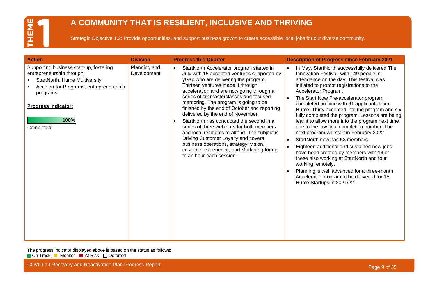### **A COMMUNITY THAT IS RESILIENT, INCLUSIVE AND THRIVING**

Strategic Objective 1.2: Provide opportunities, and support business growth to create accessible local jobs for our diverse community.

| <b>Action</b>                                                                                                                                                                                                   | <b>Division</b>             | <b>Progress this Quarter</b>                                                                                                                                                                                                                                                                                                                                                                                                                                                                                                                                                                                                                                                                                | <b>Description of Progress since February 2021</b>                                                                                                                                                                                                                                                                                                                                                                                                                                                                                                                                                                                                                                                                                                                                                                                                                                                 |
|-----------------------------------------------------------------------------------------------------------------------------------------------------------------------------------------------------------------|-----------------------------|-------------------------------------------------------------------------------------------------------------------------------------------------------------------------------------------------------------------------------------------------------------------------------------------------------------------------------------------------------------------------------------------------------------------------------------------------------------------------------------------------------------------------------------------------------------------------------------------------------------------------------------------------------------------------------------------------------------|----------------------------------------------------------------------------------------------------------------------------------------------------------------------------------------------------------------------------------------------------------------------------------------------------------------------------------------------------------------------------------------------------------------------------------------------------------------------------------------------------------------------------------------------------------------------------------------------------------------------------------------------------------------------------------------------------------------------------------------------------------------------------------------------------------------------------------------------------------------------------------------------------|
| Supporting business start-up, fostering<br>entrepreneurship through:<br>StartNorth, Hume Multiversity<br>Accelerator Programs, entrepreneurship<br>programs.<br><b>Progress Indicator:</b><br>100%<br>Completed | Planning and<br>Development | StartNorth Accelerator program started in<br>$\bullet$<br>July with 15 accepted ventures supported by<br>yGap who are delivering the program.<br>Thirteen ventures made it through<br>acceleration and are now going through a<br>series of six masterclasses and focused<br>mentoring. The program is going to be<br>finished by the end of October and reporting<br>delivered by the end of November.<br>StartNorth has conducted the second in a<br>series of three webinars for both members<br>and local residents to attend. The subject is<br>Driving Customer Loyalty and covers<br>business operations, strategy, vision,<br>customer experience, and Marketing for up<br>to an hour each session. | In May, StartNorth successfully delivered The<br>$\bullet$<br>Innovation Festival, with 149 people in<br>attendance on the day. This festival was<br>initiated to prompt registrations to the<br>Accelerator Program.<br>The Start Now Pre-accelerator program<br>completed on time with 61 applicants from<br>Hume. Thirty accepted into the program and six<br>fully completed the program. Lessons are being<br>learnt to allow more into the program next time<br>due to the low final completion number. The<br>next program will start in February 2022.<br>StartNorth now has 53 members.<br>$\bullet$<br>Eighteen additional and sustained new jobs<br>have been created by members with 14 of<br>these also working at StartNorth and four<br>working remotely.<br>Planning is well advanced for a three-month<br>Accelerator program to be delivered for 15<br>Hume Startups in 2021/22. |

The progress indicator displayed above is based on the status as follows: On Track Monitor At Risk Deferred

COVID-19 Recovery and Reactivation Plan Progress Report **Page 19th Covid-2012** COVID-19 Recovery and Reactivation Plan Progress Report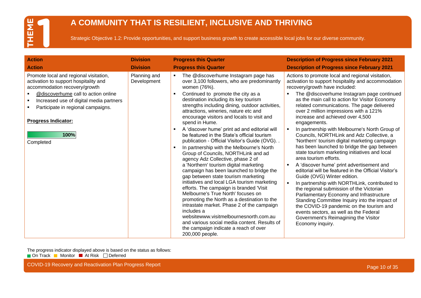### **A COMMUNITY THAT IS RESILIENT, INCLUSIVE AND THRIVING**

Strategic Objective 1.2: Provide opportunities, and support business growth to create accessible local jobs for our diverse community.

| <b>Action</b>                                                                                                                                                                                                                                                                                     | <b>Division</b>             | <b>Progress this Quarter</b>                                                                                                                                                                                                                                                                                                                                                                                                                                                                                                                                                                                                                                                                                                                                                                                                                                                                                                                                                                                                                                                                                                                                                                                | <b>Description of Progress since February 2021</b>                                                                                                                                                                                                                                                                                                                                                                                                                                                                                                                                                                                                                                                                                                                                                                                                                                                                                                                                                                                                                                                                                                                |
|---------------------------------------------------------------------------------------------------------------------------------------------------------------------------------------------------------------------------------------------------------------------------------------------------|-----------------------------|-------------------------------------------------------------------------------------------------------------------------------------------------------------------------------------------------------------------------------------------------------------------------------------------------------------------------------------------------------------------------------------------------------------------------------------------------------------------------------------------------------------------------------------------------------------------------------------------------------------------------------------------------------------------------------------------------------------------------------------------------------------------------------------------------------------------------------------------------------------------------------------------------------------------------------------------------------------------------------------------------------------------------------------------------------------------------------------------------------------------------------------------------------------------------------------------------------------|-------------------------------------------------------------------------------------------------------------------------------------------------------------------------------------------------------------------------------------------------------------------------------------------------------------------------------------------------------------------------------------------------------------------------------------------------------------------------------------------------------------------------------------------------------------------------------------------------------------------------------------------------------------------------------------------------------------------------------------------------------------------------------------------------------------------------------------------------------------------------------------------------------------------------------------------------------------------------------------------------------------------------------------------------------------------------------------------------------------------------------------------------------------------|
| <b>Action</b>                                                                                                                                                                                                                                                                                     | <b>Division</b>             | <b>Progress this Quarter</b>                                                                                                                                                                                                                                                                                                                                                                                                                                                                                                                                                                                                                                                                                                                                                                                                                                                                                                                                                                                                                                                                                                                                                                                | <b>Description of Progress since February 2021</b>                                                                                                                                                                                                                                                                                                                                                                                                                                                                                                                                                                                                                                                                                                                                                                                                                                                                                                                                                                                                                                                                                                                |
| Promote local and regional visitation,<br>activation to support hospitality and<br>accommodation recovery/growth<br>@discoverhume call to action online<br>Increased use of digital media partners<br>п.<br>Participate in regional campaigns.<br><b>Progress Indicator:</b><br>100%<br>Completed | Planning and<br>Development | The @discoverhume Instagram page has<br>$\blacksquare$<br>over 3,100 followers, who are predominantly<br>women (76%).<br>Continued to promote the city as a<br>$\blacksquare$<br>destination including its key tourism<br>strengths including dining, outdoor activities,<br>attractions, wineries, nature etc and<br>encourage visitors and locals to visit and<br>spend in Hume.<br>A 'discover hume' print ad and editorial will<br>be featured in the State's official tourism<br>publication - Official Visitor's Guide (OVG)<br>In partnership with the Melbourne's North<br>$\blacksquare$<br>Group of Councils, NORTHLink and ad<br>agency Adz Collective, phase 2 of<br>a 'Northern' tourism digital marketing<br>campaign has been launched to bridge the<br>gap between state tourism marketing<br>initiatives and local LGA tourism marketing<br>efforts. The campaign is branded 'Visit<br>Melbourne's True North' focuses on<br>promoting the North as a destination to the<br>intrastate market. Phase 2 of the campaign<br>includes a<br>websitewww.visitmelbournesnorth.com.au<br>and various social media content. Results of<br>the campaign indicate a reach of over<br>200,000 people. | Actions to promote local and regional visitation,<br>activation to support hospitality and accommodation<br>recovery/growth have included:<br>The @discoverhume Instagram page continued<br>as the main call to action for Visitor Economy<br>related communications. The page delivered<br>over 2 million impressions with a 121%<br>increase and achieved over 4,500<br>engagements.<br>In partnership with Melbourne's North Group of<br>Councils, NORTHLink and Adz Collective, a<br>'Northern' tourism digital marketing campaign<br>has been launched to bridge the gap between<br>state tourism marketing initiatives and local<br>area tourism efforts.<br>A 'discover hume' print advertisement and<br>$\blacksquare$<br>editorial will be featured in the Official Visitor's<br>Guide (OVG) Winter edition.<br>In partnership with NORTHLink, contributed to<br>the regional submission of the Victorian<br>Parliamentary Economy and Infrastructure<br>Standing Committee Inquiry into the impact of<br>the COVID-19 pandemic on the tourism and<br>events sectors, as well as the Federal<br>Government's Reimagining the Visitor<br>Economy inquiry. |

The progress indicator displayed above is based on the status as follows: On Track Monitor At Risk Deferred

COVID-19 Recovery and Reactivation Plan Progress Report **Page 10 of 35** COVID-19 Recovery and Reactivation Plan Progress Report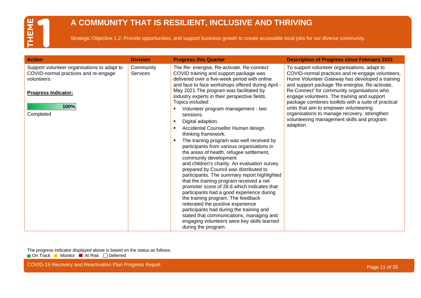### **A COMMUNITY THAT IS RESILIENT, INCLUSIVE AND THRIVING**

Strategic Objective 1.2: Provide opportunities, and support business growth to create accessible local jobs for our diverse community.

| <b>Action</b>                                                                                                                                         | <b>Division</b>              | <b>Progress this Quarter</b>                                                                                                                                                                                                                                                                                                                                                                                                                                                                                                                                                                                                                                                                                                                                                                                                                                                                                                                                                                                                                                                                                                                                                                      | <b>Description of Progress since February 2021</b>                                                                                                                                                                                                                                                                                                                                                                                                                                                              |
|-------------------------------------------------------------------------------------------------------------------------------------------------------|------------------------------|---------------------------------------------------------------------------------------------------------------------------------------------------------------------------------------------------------------------------------------------------------------------------------------------------------------------------------------------------------------------------------------------------------------------------------------------------------------------------------------------------------------------------------------------------------------------------------------------------------------------------------------------------------------------------------------------------------------------------------------------------------------------------------------------------------------------------------------------------------------------------------------------------------------------------------------------------------------------------------------------------------------------------------------------------------------------------------------------------------------------------------------------------------------------------------------------------|-----------------------------------------------------------------------------------------------------------------------------------------------------------------------------------------------------------------------------------------------------------------------------------------------------------------------------------------------------------------------------------------------------------------------------------------------------------------------------------------------------------------|
| Support volunteer organisations to adapt to<br>COVID-normal practices and re-engage<br>volunteers.<br><b>Progress Indicator:</b><br>100%<br>Completed | Community<br><b>Services</b> | The Re- energise, Re-activate, Re-connect<br>COVID training and support package was<br>delivered over a five-week period with online<br>and face to face workshops offered during April -<br>May 2021. The program was facilitated by<br>industry experts in their perspective fields.<br>Topics included:<br>Volunteer program management - two<br>sessions.<br>Digital adaption.<br>$\blacksquare$<br>Accidental Counsellor Human design<br>$\blacksquare$<br>thinking framework.<br>The training program was well received by<br>$\blacksquare$<br>participants from various organisations in<br>the areas of health, refugee settlement,<br>community development<br>and children's charity. An evaluation survey<br>prepared by Council was distributed to<br>participants. The summary report highlighted<br>that the training program received a net<br>promoter score of 28.6 which indicates that<br>participants had a good experience during<br>the training program. The feedback<br>reiterated the positive experience<br>participants had during the training and<br>stated that communications, managing and<br>engaging volunteers were key skills learned<br>during the program. | To support volunteer organisations, adapt to<br>COVID-normal practices and re-engage volunteers,<br>Hume Volunteer Gateway has developed a training<br>and support package 'Re-energise, Re-activate,<br>Re-Connect' for community organisations who<br>engage volunteers. The training and support<br>package combines toolkits with a suite of practical<br>units that aim to empower volunteering<br>organisations to manage recovery, strengthen<br>volunteering management skills and program<br>adaption. |

The progress indicator displayed above is based on the status as follows: On Track Monitor At Risk Deferred

COVID-19 Recovery and Reactivation Plan Progress Report **Page 11 of 35** COVID-19 Recovery and Reactivation Plan Progress Report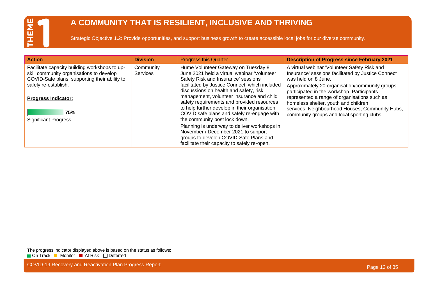### **A COMMUNITY THAT IS RESILIENT, INCLUSIVE AND THRIVING**

Strategic Objective 1.2: Provide opportunities, and support business growth to create accessible local jobs for our diverse community.

| <b>Action</b>                                                                                                                                                                                                                          | <b>Division</b>              | <b>Progress this Quarter</b>                                                                                                                                                                                                                                                                                                                                                                                                                     | <b>Description of Progress since February 2021</b>                                                                                                                                                                                                                                                                                                                                                                 |
|----------------------------------------------------------------------------------------------------------------------------------------------------------------------------------------------------------------------------------------|------------------------------|--------------------------------------------------------------------------------------------------------------------------------------------------------------------------------------------------------------------------------------------------------------------------------------------------------------------------------------------------------------------------------------------------------------------------------------------------|--------------------------------------------------------------------------------------------------------------------------------------------------------------------------------------------------------------------------------------------------------------------------------------------------------------------------------------------------------------------------------------------------------------------|
| Facilitate capacity building workshops to up-<br>skill community organisations to develop<br>COVID-Safe plans, supporting their ability to<br>safely re-establish.<br><b>Progress Indicator:</b><br>75%<br><b>Significant Progress</b> | Community<br><b>Services</b> | Hume Volunteer Gateway on Tuesday 8<br>June 2021 held a virtual webinar 'Volunteer<br>Safety Risk and Insurance' sessions<br>facilitated by Justice Connect, which included<br>discussions on health and safety, risk<br>management, volunteer insurance and child<br>safety requirements and provided resources<br>to help further develop in their organisation<br>COVID safe plans and safely re-engage with<br>the community post lock down. | A virtual webinar 'Volunteer Safety Risk and<br>Insurance' sessions facilitated by Justice Connect<br>was held on 8 June.<br>Approximately 20 organisation/community groups<br>participated in the workshop. Participants<br>represented a range of organisations such as<br>homeless shelter, youth and children<br>services, Neighbourhood Houses, Community Hubs,<br>community groups and local sporting clubs. |
|                                                                                                                                                                                                                                        |                              | Planning is underway to deliver workshops in<br>November / December 2021 to support<br>groups to develop COVID-Safe Plans and<br>facilitate their capacity to safely re-open.                                                                                                                                                                                                                                                                    |                                                                                                                                                                                                                                                                                                                                                                                                                    |

The progress indicator displayed above is based on the status as follows: On Track Monitor At Risk Deferred

COVID-19 Recovery and Reactivation Plan Progress Report **Page 12 of 35** COVID-19 Recovery and Reactivation Plan Progress Report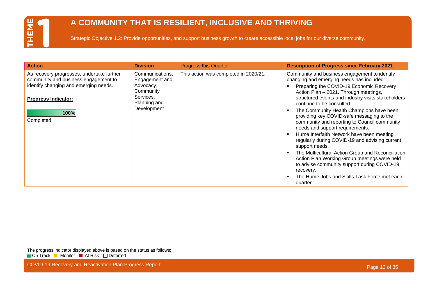### **A COMMUNITY THAT IS RESILIENT, INCLUSIVE AND THRIVING**

Strategic Objective 1.2: Provide opportunities, and support business growth to create accessible local jobs for our diverse community.

| <b>Action</b>                                                                                                                                                                 | <b>Division</b>                                                                                         | <b>Progress this Quarter</b>          | <b>Description of Progress since February 2021</b>                                                                                                                                                                                                                                                                                                                                                                                                                                                                                                                                                                                                                                                                                                                                           |
|-------------------------------------------------------------------------------------------------------------------------------------------------------------------------------|---------------------------------------------------------------------------------------------------------|---------------------------------------|----------------------------------------------------------------------------------------------------------------------------------------------------------------------------------------------------------------------------------------------------------------------------------------------------------------------------------------------------------------------------------------------------------------------------------------------------------------------------------------------------------------------------------------------------------------------------------------------------------------------------------------------------------------------------------------------------------------------------------------------------------------------------------------------|
| As recovery progresses, undertake further<br>community and business engagement to<br>identify changing and emerging needs.<br><b>Progress Indicator:</b><br>100%<br>Completed | Communications,<br>Engagement and<br>Advocacy,<br>Community<br>Services,<br>Planning and<br>Development | This action was completed in 2020/21. | Community and business engagement to identify<br>changing and emerging needs has included:<br>Preparing the COVID-19 Economic Recovery<br>Action Plan - 2021. Through meetings,<br>structured events and industry visits stakeholders<br>continue to be consulted.<br>The Community Health Champions have been<br>providing key COVID-safe messaging to the<br>community and reporting to Council community<br>needs and support requirements.<br>Hume Interfaith Network have been meeting<br>regularly during COVID-19 and advising current<br>support needs.<br>The Multicultural Action Group and Reconciliation<br>Action Plan Working Group meetings were held<br>to advise community support during COVID-19<br>recovery.<br>The Hume Jobs and Skills Task Force met each<br>quarter. |

The progress indicator displayed above is based on the status as follows: On Track Monitor At Risk Deferred

COVID-19 Recovery and Reactivation Plan Progress Report **Page 13 of 35** COVID-19 Recovery and Reactivation Plan Progress Report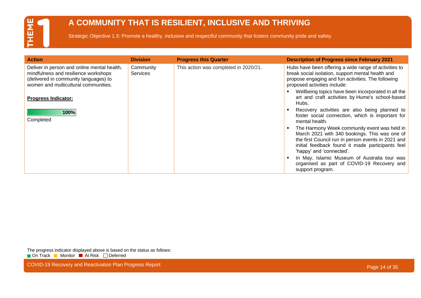#### **A COMMUNITY THAT IS RESILIENT, INCLUSIVE AND THRIVING**

Strategic Objective 1.3: Promote a healthy, inclusive and respectful community that fosters community pride and safety.

| <b>Action</b>                                                                                                                                                                                      | <b>Division</b>              | <b>Progress this Quarter</b>          | <b>Description of Progress since February 2021</b>                                                                                                                                                                                                                                                                 |
|----------------------------------------------------------------------------------------------------------------------------------------------------------------------------------------------------|------------------------------|---------------------------------------|--------------------------------------------------------------------------------------------------------------------------------------------------------------------------------------------------------------------------------------------------------------------------------------------------------------------|
| Deliver in person and online mental health,<br>mindfulness and resilience workshops<br>(delivered in community languages) to<br>women and multicultural communities.<br><b>Progress Indicator:</b> | Community<br><b>Services</b> | This action was completed in 2020/21. | Hubs have been offering a wide range of activities to<br>break social isolation, support mental health and<br>propose engaging and fun activities. The following<br>proposed activities include:<br>Wellbeing topics have been incorporated in all the<br>art and craft activities by Hume's school-based<br>Hubs. |
| 100%<br>Completed                                                                                                                                                                                  |                              |                                       | Recovery activities are also being planned to<br>foster social connection, which is important for<br>mental health.                                                                                                                                                                                                |
|                                                                                                                                                                                                    |                              |                                       | The Harmony Week community event was held in<br>March 2021 with 340 bookings. This was one of<br>the first Council run in person events in 2021 and<br>initial feedback found it made participants feel<br>'happy' and 'connected'.                                                                                |
|                                                                                                                                                                                                    |                              |                                       | In May, Islamic Museum of Australia tour was<br>organised as part of COVID-19 Recovery and<br>support program.                                                                                                                                                                                                     |

The progress indicator displayed above is based on the status as follows: On Track Monitor At Risk Deferred

COVID-19 Recovery and Reactivation Plan Progress Report **Page 14 of 35** COVID-19 Recovery and Reactivation Plan Progress Report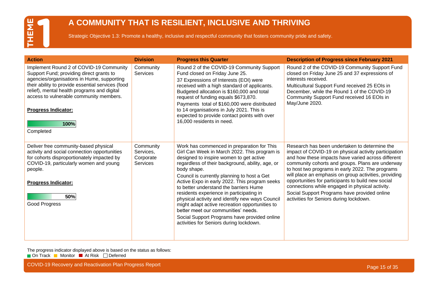#### **A COMMUNITY THAT IS RESILIENT, INCLUSIVE AND THRIVING**

Strategic Objective 1.3: Promote a healthy, inclusive and respectful community that fosters community pride and safety.

| <b>Action</b>                                                                                                                                                                                                                                                                                                                       | <b>Division</b>                                        | <b>Progress this Quarter</b>                                                                                                                                                                                                                                                                                                                                                                                                                                                                                                                                                                                                          | <b>Description of Progress since February 2021</b>                                                                                                                                                                                                                                                                                                                                                                                                                                                                                |
|-------------------------------------------------------------------------------------------------------------------------------------------------------------------------------------------------------------------------------------------------------------------------------------------------------------------------------------|--------------------------------------------------------|---------------------------------------------------------------------------------------------------------------------------------------------------------------------------------------------------------------------------------------------------------------------------------------------------------------------------------------------------------------------------------------------------------------------------------------------------------------------------------------------------------------------------------------------------------------------------------------------------------------------------------------|-----------------------------------------------------------------------------------------------------------------------------------------------------------------------------------------------------------------------------------------------------------------------------------------------------------------------------------------------------------------------------------------------------------------------------------------------------------------------------------------------------------------------------------|
| Implement Round 2 of COVID-19 Community<br>Support Fund; providing direct grants to<br>agencies/organisations in Hume, supporting<br>their ability to provide essential services (food<br>relief), mental health programs and digital<br>access to vulnerable community members.<br><b>Progress Indicator:</b><br>100%<br>Completed | Community<br><b>Services</b>                           | Round 2 of the COVID-19 Community Support<br>Fund closed on Friday June 25.<br>37 Expressions of Interests (EOI) were<br>received with a high standard of applicants.<br>Budgeted allocation is \$160,000 and total<br>request of funding equals \$673,870.<br>Payments total of \$160,000 were distributed<br>to 14 organisations in July 2021. This is<br>expected to provide contact points with over<br>16,000 residents in need.                                                                                                                                                                                                 | Round 2 of the COVID-19 Community Support Fund<br>closed on Friday June 25 and 37 expressions of<br>interests received.<br>Multicultural Support Fund received 25 EOIs in<br>December, while the Round 1 of the COVID-19<br>Community Support Fund received 16 EOIs in<br>May/June 2020.                                                                                                                                                                                                                                          |
| Deliver free community-based physical<br>activity and social connection opportunities<br>for cohorts disproportionately impacted by<br>COVID-19, particularly women and young<br>people.<br><b>Progress Indicator:</b><br>50%<br><b>Good Progress</b>                                                                               | Community<br>Services,<br>Corporate<br><b>Services</b> | Work has commenced in preparation for This<br>Girl Can Week in March 2022. This program is<br>designed to inspire women to get active<br>regardless of their background, ability, age, or<br>body shape.<br>Council is currently planning to host a Get<br>Active Expo in early 2022. This program seeks<br>to better understand the barriers Hume<br>residents experience in participating in<br>physical activity and identify new ways Council<br>might adapt active recreation opportunities to<br>better meet our communities' needs.<br>Social Support Programs have provided online<br>activities for Seniors during lockdown. | Research has been undertaken to determine the<br>impact of COVID-19 on physical activity participation<br>and how these impacts have varied across different<br>community cohorts and groups. Plans are underway<br>to host two programs in early 2022. The programs<br>will place an emphasis on group activities, providing<br>opportunities for participants to build new social<br>connections while engaged in physical activity.<br>Social Support Programs have provided online<br>activities for Seniors during lockdown. |

The progress indicator displayed above is based on the status as follows: On Track Monitor At Risk Deferred

COVID-19 Recovery and Reactivation Plan Progress Report **Page 15 of 35** COVID-19 Recovery and Reactivation Plan Progress Report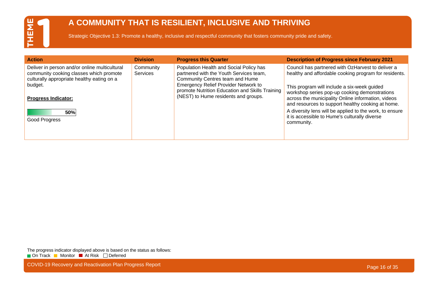#### **A COMMUNITY THAT IS RESILIENT, INCLUSIVE AND THRIVING**

Strategic Objective 1.3: Promote a healthy, inclusive and respectful community that fosters community pride and safety.

| <b>Action</b>                                                                                                                                                                   | <b>Division</b>              | <b>Progress this Quarter</b>                                                                                                                                                                                                                                    | <b>Description of Progress since February 2021</b>                                                                                                                                                                                                                                                                    |
|---------------------------------------------------------------------------------------------------------------------------------------------------------------------------------|------------------------------|-----------------------------------------------------------------------------------------------------------------------------------------------------------------------------------------------------------------------------------------------------------------|-----------------------------------------------------------------------------------------------------------------------------------------------------------------------------------------------------------------------------------------------------------------------------------------------------------------------|
| Deliver in person and/or online multicultural<br>community cooking classes which promote<br>culturally appropriate healthy eating on a<br>budget.<br><b>Progress Indicator:</b> | Community<br><b>Services</b> | Population Health and Social Policy has<br>partnered with the Youth Services team,<br>Community Centres team and Hume<br><b>Emergency Relief Provider Network to</b><br>promote Nutrition Education and Skills Training<br>(NEST) to Hume residents and groups. | Council has partnered with OzHarvest to deliver a<br>healthy and affordable cooking program for residents.<br>This program will include a six-week guided<br>workshop series pop-up cooking demonstrations<br>across the municipality Online information, videos<br>and resources to support healthy cooking at home. |
| <b>50%</b><br>Good Progress                                                                                                                                                     |                              |                                                                                                                                                                                                                                                                 | A diversity lens will be applied to the work, to ensure<br>it is accessible to Hume's culturally diverse<br>community.                                                                                                                                                                                                |

The progress indicator displayed above is based on the status as follows: On Track Monitor At Risk Deferred

COVID-19 Recovery and Reactivation Plan Progress Report **Page 16 of 35** COVID-19 Recovery and Reactivation Plan Progress Report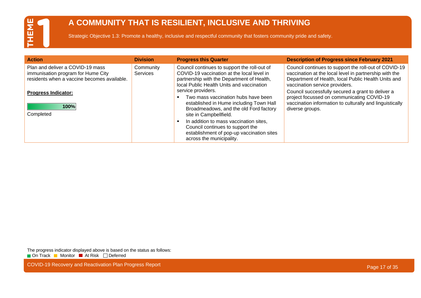#### **A COMMUNITY THAT IS RESILIENT, INCLUSIVE AND THRIVING**

Strategic Objective 1.3: Promote a healthy, inclusive and respectful community that fosters community pride and safety.

| <b>Action</b>                                                                                                                                       | <b>Division</b>              | <b>Progress this Quarter</b>                                                                                                                                                                                                                                                                  | <b>Description of Progress since February 2021</b>                                                                                                                                                                                                                                                                                                                      |
|-----------------------------------------------------------------------------------------------------------------------------------------------------|------------------------------|-----------------------------------------------------------------------------------------------------------------------------------------------------------------------------------------------------------------------------------------------------------------------------------------------|-------------------------------------------------------------------------------------------------------------------------------------------------------------------------------------------------------------------------------------------------------------------------------------------------------------------------------------------------------------------------|
| Plan and deliver a COVID-19 mass<br>immunisation program for Hume City<br>residents when a vaccine becomes available.<br><b>Progress Indicator:</b> | Community<br><b>Services</b> | Council continues to support the roll-out of<br>COVID-19 vaccination at the local level in<br>partnership with the Department of Health,<br>local Public Health Units and vaccination<br>service providers.<br>Two mass vaccination hubs have been<br>established in Hume including Town Hall | Council continues to support the roll-out of COVID-19<br>vaccination at the local level in partnership with the<br>Department of Health, local Public Health Units and<br>vaccination service providers.<br>Council successfully secured a grant to deliver a<br>project focussed on communicating COVID-19<br>vaccination information to culturally and linguistically |
| 100%<br>Completed                                                                                                                                   |                              | Broadmeadows, and the old Ford factory<br>site in Campbellfield.<br>In addition to mass vaccination sites,<br>Council continues to support the<br>establishment of pop-up vaccination sites<br>across the municipality.                                                                       | diverse groups.                                                                                                                                                                                                                                                                                                                                                         |

The progress indicator displayed above is based on the status as follows: On Track Monitor At Risk Deferred

COVID-19 Recovery and Reactivation Plan Progress Report **Page 17 of 35** COVID-19 Recovery and Reactivation Plan Progress Report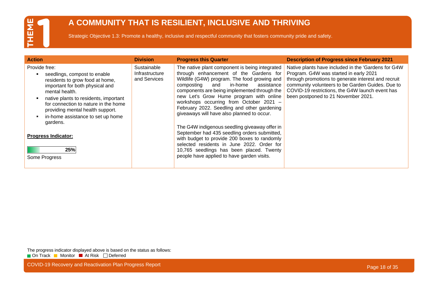#### **A COMMUNITY THAT IS RESILIENT, INCLUSIVE AND THRIVING**

Strategic Objective 1.3: Promote a healthy, inclusive and respectful community that fosters community pride and safety.

| <b>Action</b>                                                                                                                                                                                                                                                                                                                                                     | <b>Division</b>                               | <b>Progress this Quarter</b>                                                                                                                                                                                                                                                                                                                                                                                                                                                                                                                                                                                                                                                                                       | <b>Description of Progress since February 2021</b>                                                                                                                                                                                                                                                 |
|-------------------------------------------------------------------------------------------------------------------------------------------------------------------------------------------------------------------------------------------------------------------------------------------------------------------------------------------------------------------|-----------------------------------------------|--------------------------------------------------------------------------------------------------------------------------------------------------------------------------------------------------------------------------------------------------------------------------------------------------------------------------------------------------------------------------------------------------------------------------------------------------------------------------------------------------------------------------------------------------------------------------------------------------------------------------------------------------------------------------------------------------------------------|----------------------------------------------------------------------------------------------------------------------------------------------------------------------------------------------------------------------------------------------------------------------------------------------------|
| Provide free:<br>seedlings, compost to enable<br>residents to grow food at home,<br>important for both physical and<br>mental health.<br>native plants to residents, important<br>for connection to nature in the home<br>providing mental health support.<br>in-home assistance to set up home<br>gardens.<br><b>Progress Indicator:</b><br>25%<br>Some Progress | Sustainable<br>Infrastructure<br>and Services | The native plant component is being integrated<br>through enhancement of the Gardens for<br>Wildlife (G4W) program. The food growing and<br>in-home<br>assistance<br>composting<br>and<br>components are being implemented through the<br>new Let's Grow Hume program with online<br>workshops occurring from October 2021 -<br>February 2022. Seedling and other gardening<br>giveaways will have also planned to occur.<br>The G4W indigenous seedling giveaway offer in<br>September had 435 seedling orders submitted,<br>with budget to provide 200 boxes to randomly<br>selected residents in June 2022. Order for<br>10,765 seedlings has been placed. Twenty<br>people have applied to have garden visits. | Native plants have included in the 'Gardens for G4W<br>Program. G4W was started in early 2021<br>through promotions to generate interest and recruit<br>community volunteers to be Garden Guides. Due to<br>COVID-19 restrictions, the G4W launch event has<br>been postponed to 21 November 2021. |

The progress indicator displayed above is based on the status as follows: On Track Monitor At Risk Deferred

COVID-19 Recovery and Reactivation Plan Progress Report **Page 18 of 35** COVID-19 Recovery and Reactivation Plan Progress Report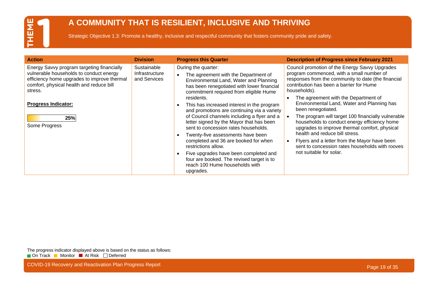#### **A COMMUNITY THAT IS RESILIENT, INCLUSIVE AND THRIVING**

Strategic Objective 1.3: Promote a healthy, inclusive and respectful community that fosters community pride and safety.

| <b>Action</b>                                                                                                                                                                                                                                     | <b>Division</b>                               | <b>Progress this Quarter</b>                                                                                                                                                                                                                                                                                                                                                                                                                                                                                                                                                                                                                                                         | <b>Description of Progress since February 2021</b>                                                                                                                                                                                                                                                                                                                                                                                                                                                                                                                                                                                                |
|---------------------------------------------------------------------------------------------------------------------------------------------------------------------------------------------------------------------------------------------------|-----------------------------------------------|--------------------------------------------------------------------------------------------------------------------------------------------------------------------------------------------------------------------------------------------------------------------------------------------------------------------------------------------------------------------------------------------------------------------------------------------------------------------------------------------------------------------------------------------------------------------------------------------------------------------------------------------------------------------------------------|---------------------------------------------------------------------------------------------------------------------------------------------------------------------------------------------------------------------------------------------------------------------------------------------------------------------------------------------------------------------------------------------------------------------------------------------------------------------------------------------------------------------------------------------------------------------------------------------------------------------------------------------------|
| Energy Savvy program targeting financially<br>vulnerable households to conduct energy<br>efficiency home upgrades to improve thermal<br>comfort, physical health and reduce bill<br>stress.<br><b>Progress Indicator:</b><br>25%<br>Some Progress | Sustainable<br>Infrastructure<br>and Services | During the quarter:<br>The agreement with the Department of<br>Environmental Land, Water and Planning<br>has been renegotiated with lower financial<br>commitment required from eligible Hume<br>residents.<br>This has increased interest in the program<br>and promotions are continuing via a variety<br>of Council channels including a flyer and a<br>letter signed by the Mayor that has been<br>sent to concession rates households.<br>Twenty-five assessments have been<br>completed and 36 are booked for when<br>restrictions allow.<br>Five upgrades have been completed and<br>four are booked. The revised target is to<br>reach 100 Hume households with<br>upgrades. | Council promotion of the Energy Savvy Upgrades<br>program commenced, with a small number of<br>responses from the community to date (the financial<br>contribution has been a barrier for Hume<br>households).<br>The agreement with the Department of<br>Environmental Land, Water and Planning has<br>been renegotiated.<br>The program will target 100 financially vulnerable<br>households to conduct energy efficiency home<br>upgrades to improve thermal comfort, physical<br>health and reduce bill stress.<br>Flyers and a letter from the Mayor have been<br>sent to concession rates households with rooves<br>not suitable for solar. |

The progress indicator displayed above is based on the status as follows: On Track Monitor At Risk Deferred

COVID-19 Recovery and Reactivation Plan Progress Report **Page 19 of 35** COVID-19 Recovery and Reactivation Plan Progress Report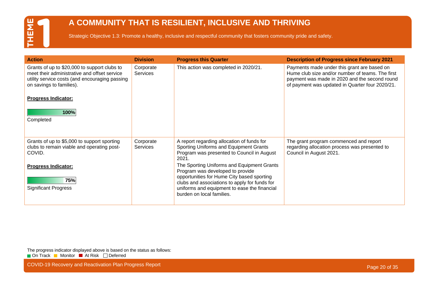#### **A COMMUNITY THAT IS RESILIENT, INCLUSIVE AND THRIVING**

Strategic Objective 1.3: Promote a healthy, inclusive and respectful community that fosters community pride and safety.

| <b>Action</b>                                                                                                                                                              | <b>Division</b>              | <b>Progress this Quarter</b>                                                                                                                                             | <b>Description of Progress since February 2021</b>                                                                                                                                                  |
|----------------------------------------------------------------------------------------------------------------------------------------------------------------------------|------------------------------|--------------------------------------------------------------------------------------------------------------------------------------------------------------------------|-----------------------------------------------------------------------------------------------------------------------------------------------------------------------------------------------------|
| Grants of up to \$20,000 to support clubs to<br>meet their administrative and offset service<br>utility service costs (and encouraging passing<br>on savings to families). | Corporate<br><b>Services</b> | This action was completed in 2020/21.                                                                                                                                    | Payments made under this grant are based on<br>Hume club size and/or number of teams. The first<br>payment was made in 2020 and the second round<br>of payment was updated in Quarter four 2020/21. |
| <b>Progress Indicator:</b>                                                                                                                                                 |                              |                                                                                                                                                                          |                                                                                                                                                                                                     |
| 100%                                                                                                                                                                       |                              |                                                                                                                                                                          |                                                                                                                                                                                                     |
| Completed                                                                                                                                                                  |                              |                                                                                                                                                                          |                                                                                                                                                                                                     |
|                                                                                                                                                                            |                              |                                                                                                                                                                          |                                                                                                                                                                                                     |
| Grants of up to \$5,000 to support sporting<br>clubs to remain viable and operating post-<br>COVID.                                                                        | Corporate<br><b>Services</b> | A report regarding allocation of funds for<br>Sporting Uniforms and Equipment Grants<br>Program was presented to Council in August<br>2021.                              | The grant program commenced and report<br>regarding allocation process was presented to<br>Council in August 2021.                                                                                  |
| <b>Progress Indicator:</b>                                                                                                                                                 |                              | The Sporting Uniforms and Equipment Grants<br>Program was developed to provide                                                                                           |                                                                                                                                                                                                     |
| 75%<br><b>Significant Progress</b>                                                                                                                                         |                              | opportunities for Hume City based sporting<br>clubs and associations to apply for funds for<br>uniforms and equipment to ease the financial<br>burden on local families. |                                                                                                                                                                                                     |

The progress indicator displayed above is based on the status as follows: On Track Monitor At Risk Deferred

COVID-19 Recovery and Reactivation Plan Progress Report **Page 20 of 35** COVID-19 Recovery and Reactivation Plan Progress Report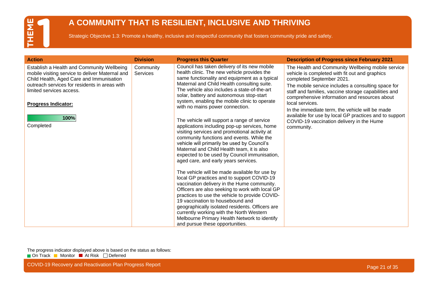#### **A COMMUNITY THAT IS RESILIENT, INCLUSIVE AND THRIVING**

Strategic Objective 1.3: Promote a healthy, inclusive and respectful community that fosters community pride and safety.

| <b>Action</b>                                                                                                                                                                                                                                                             | <b>Division</b>       | <b>Progress this Quarter</b>                                                                                                                                                                                                                                                                                                                                                                                                                                                                                                                                                                                                                                                                                                                                                                                                                                                                                | <b>Description of Progress since February 2021</b>                                                                                                                                                                                                                                                                                                                                                                                                                                         |
|---------------------------------------------------------------------------------------------------------------------------------------------------------------------------------------------------------------------------------------------------------------------------|-----------------------|-------------------------------------------------------------------------------------------------------------------------------------------------------------------------------------------------------------------------------------------------------------------------------------------------------------------------------------------------------------------------------------------------------------------------------------------------------------------------------------------------------------------------------------------------------------------------------------------------------------------------------------------------------------------------------------------------------------------------------------------------------------------------------------------------------------------------------------------------------------------------------------------------------------|--------------------------------------------------------------------------------------------------------------------------------------------------------------------------------------------------------------------------------------------------------------------------------------------------------------------------------------------------------------------------------------------------------------------------------------------------------------------------------------------|
| Establish a Health and Community Wellbeing<br>mobile visiting service to deliver Maternal and<br>Child Health, Aged Care and Immunisation<br>outreach services for residents in areas with<br>limited services access.<br><b>Progress Indicator:</b><br>100%<br>Completed | Community<br>Services | Council has taken delivery of its new mobile<br>health clinic. The new vehicle provides the<br>same functionality and equipment as a typical<br>Maternal and Child Health consulting suite.<br>The vehicle also includes a state-of-the-art<br>solar, battery and autonomous stop-start<br>system, enabling the mobile clinic to operate<br>with no mains power connection.<br>The vehicle will support a range of service<br>applications including pop-up services, home<br>visiting services and promotional activity at<br>community functions and events. While the<br>vehicle will primarily be used by Council's<br>Maternal and Child Health team, it is also<br>expected to be used by Council immunisation,<br>aged care, and early years services.<br>The vehicle will be made available for use by<br>local GP practices and to support COVID-19<br>vaccination delivery in the Hume community. | The Health and Community Wellbeing mobile service<br>vehicle is completed with fit out and graphics<br>completed September 2021.<br>The mobile service includes a consulting space for<br>staff and families, vaccine storage capabilities and<br>comprehensive information and resources about<br>local services.<br>In the immediate term, the vehicle will be made<br>available for use by local GP practices and to support<br>COVID-19 vaccination delivery in the Hume<br>community. |
|                                                                                                                                                                                                                                                                           |                       | Officers are also seeking to work with local GP<br>practices to use the vehicle to provide COVID-<br>19 vaccination to housebound and<br>geographically isolated residents. Officers are                                                                                                                                                                                                                                                                                                                                                                                                                                                                                                                                                                                                                                                                                                                    |                                                                                                                                                                                                                                                                                                                                                                                                                                                                                            |
|                                                                                                                                                                                                                                                                           |                       | currently working with the North Western<br>Melbourne Primary Health Network to identify<br>and pursue these opportunities.                                                                                                                                                                                                                                                                                                                                                                                                                                                                                                                                                                                                                                                                                                                                                                                 |                                                                                                                                                                                                                                                                                                                                                                                                                                                                                            |

The progress indicator displayed above is based on the status as follows: On Track Monitor At Risk Deferred

COVID-19 Recovery and Reactivation Plan Progress Report **Page 21 of 35** COVID-19 Recovery and Reactivation Plan Progress Report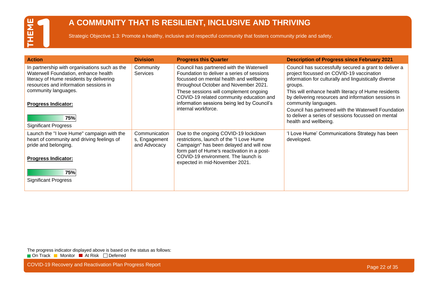#### **A COMMUNITY THAT IS RESILIENT, INCLUSIVE AND THRIVING**

Strategic Objective 1.3: Promote a healthy, inclusive and respectful community that fosters community pride and safety.

| <b>Action</b>                                                                                                                                                              | <b>Division</b>                                | <b>Progress this Quarter</b>                                                                                                                                               | <b>Description of Progress since February 2021</b>                                                                                                                                        |
|----------------------------------------------------------------------------------------------------------------------------------------------------------------------------|------------------------------------------------|----------------------------------------------------------------------------------------------------------------------------------------------------------------------------|-------------------------------------------------------------------------------------------------------------------------------------------------------------------------------------------|
| In partnership with organisations such as the<br>Waterwell Foundation, enhance health<br>literacy of Hume residents by delivering<br>resources and information sessions in | Community<br><b>Services</b>                   | Council has partnered with the Waterwell<br>Foundation to deliver a series of sessions<br>focussed on mental health and wellbeing<br>throughout October and November 2021. | Council has successfully secured a grant to deliver a<br>project focussed on COVID-19 vaccination<br>information for culturally and linguistically diverse<br>groups.                     |
| community languages.<br><b>Progress Indicator:</b>                                                                                                                         |                                                | These sessions will complement ongoing<br>COVID-19 related community education and<br>information sessions being led by Council's<br>internal workforce.                   | This will enhance health literacy of Hume residents<br>by delivering resources and information sessions in<br>community languages.<br>Council has partnered with the Waterwell Foundation |
| 75%<br><b>Significant Progress</b>                                                                                                                                         |                                                |                                                                                                                                                                            | to deliver a series of sessions focussed on mental<br>health and wellbeing.                                                                                                               |
| Launch the "I love Hume" campaign with the<br>heart of community and driving feelings of<br>pride and belonging.                                                           | Communication<br>s, Engagement<br>and Advocacy | Due to the ongoing COVID-19 lockdown<br>restrictions, launch of the "I Love Hume<br>Campaign" has been delayed and will now<br>form part of Hume's reactivation in a post- | 'I Love Hume' Communications Strategy has been<br>developed.                                                                                                                              |
| <b>Progress Indicator:</b>                                                                                                                                                 |                                                | COVID-19 environment. The launch is<br>expected in mid-November 2021.                                                                                                      |                                                                                                                                                                                           |
| 75%<br><b>Significant Progress</b>                                                                                                                                         |                                                |                                                                                                                                                                            |                                                                                                                                                                                           |
|                                                                                                                                                                            |                                                |                                                                                                                                                                            |                                                                                                                                                                                           |

The progress indicator displayed above is based on the status as follows: On Track Monitor At Risk Deferred

COVID-19 Recovery and Reactivation Plan Progress Report **Page 22 of 35** COVID-19 Recovery and Reactivation Plan Progress Report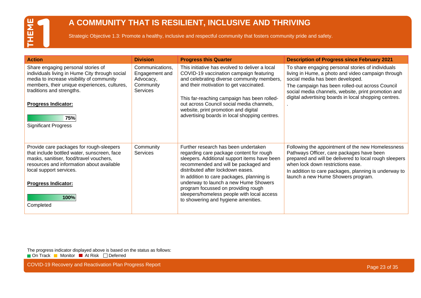#### **A COMMUNITY THAT IS RESILIENT, INCLUSIVE AND THRIVING**

Strategic Objective 1.3: Promote a healthy, inclusive and respectful community that fosters community pride and safety.

| <b>Action</b>                                                                                                                                                                                                                                                                      | <b>Division</b>                                                                | <b>Progress this Quarter</b>                                                                                                                                                                                                                                                                                                                                                                                                    | <b>Description of Progress since February 2021</b>                                                                                                                                                                                                                                                             |
|------------------------------------------------------------------------------------------------------------------------------------------------------------------------------------------------------------------------------------------------------------------------------------|--------------------------------------------------------------------------------|---------------------------------------------------------------------------------------------------------------------------------------------------------------------------------------------------------------------------------------------------------------------------------------------------------------------------------------------------------------------------------------------------------------------------------|----------------------------------------------------------------------------------------------------------------------------------------------------------------------------------------------------------------------------------------------------------------------------------------------------------------|
| Share engaging personal stories of<br>individuals living in Hume City through social<br>media to increase visibility of community<br>members, their unique experiences, cultures,<br>traditions and strengths.<br><b>Progress Indicator:</b><br>75%<br><b>Significant Progress</b> | Communications,<br>Engagement and<br>Advocacy,<br>Community<br><b>Services</b> | This initiative has evolved to deliver a local<br>COVID-19 vaccination campaign featuring<br>and celebrating diverse community members,<br>and their motivation to get vaccinated.<br>This far-reaching campaign has been rolled-<br>out across Council social media channels,<br>website, print promotion and digital<br>advertising boards in local shopping centres.                                                         | To share engaging personal stories of individuals<br>living in Hume, a photo and video campaign through<br>social media has been developed.<br>The campaign has been rolled-out across Council<br>social media channels, website, print promotion and<br>digital advertising boards in local shopping centres. |
| Provide care packages for rough-sleepers<br>that include bottled water, sunscreen, face<br>masks, sanitiser, food/travel vouchers,<br>resources and information about available<br>local support services.<br><b>Progress Indicator:</b><br>100%<br>Completed                      | Community<br>Services                                                          | Further research has been undertaken<br>regarding care package content for rough<br>sleepers. Additional support items have been<br>recommended and will be packaged and<br>distributed after lockdown eases.<br>In addition to care packages, planning is<br>underway to launch a new Hume Showers<br>program focussed on providing rough<br>sleepers/homeless people with local access<br>to showering and hygiene amenities. | Following the appointment of the new Homelessness<br>Pathways Officer, care packages have been<br>prepared and will be delivered to local rough sleepers<br>when lock down restrictions ease.<br>In addition to care packages, planning is underway to<br>launch a new Hume Showers program.                   |

The progress indicator displayed above is based on the status as follows: On Track Monitor At Risk Deferred

COVID-19 Recovery and Reactivation Plan Progress Report **Page 23 of 35** COVID-19 Recovery and Reactivation Plan Progress Report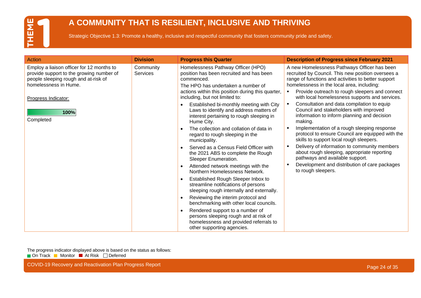#### **A COMMUNITY THAT IS RESILIENT, INCLUSIVE AND THRIVING**

Strategic Objective 1.3: Promote a healthy, inclusive and respectful community that fosters community pride and safety.

| Action                                                                                                                                                                                             | <b>Division</b>              | <b>Progress this Quarter</b>                                                                                                                                                                                                                                                                                                                                                                                                                                                                                                                                                                                                                                                                                                                                                                                                                                                                                                                                                                                                         | <b>Description of Progress since February 2021</b>                                                                                                                                                                                                                                                                                                                                                                                                                                                                                                                                                                                                                                                                                                                                                                   |
|----------------------------------------------------------------------------------------------------------------------------------------------------------------------------------------------------|------------------------------|--------------------------------------------------------------------------------------------------------------------------------------------------------------------------------------------------------------------------------------------------------------------------------------------------------------------------------------------------------------------------------------------------------------------------------------------------------------------------------------------------------------------------------------------------------------------------------------------------------------------------------------------------------------------------------------------------------------------------------------------------------------------------------------------------------------------------------------------------------------------------------------------------------------------------------------------------------------------------------------------------------------------------------------|----------------------------------------------------------------------------------------------------------------------------------------------------------------------------------------------------------------------------------------------------------------------------------------------------------------------------------------------------------------------------------------------------------------------------------------------------------------------------------------------------------------------------------------------------------------------------------------------------------------------------------------------------------------------------------------------------------------------------------------------------------------------------------------------------------------------|
| Employ a liaison officer for 12 months to<br>provide support to the growing number of<br>people sleeping rough and at-risk of<br>homelessness in Hume.<br>Progress Indicator:<br>100%<br>Completed | Community<br><b>Services</b> | Homelessness Pathway Officer (HPO)<br>position has been recruited and has been<br>commenced.<br>The HPO has undertaken a number of<br>actions within this position during this quarter,<br>including, but not limited to:<br>Established bi-monthly meeting with City<br>Laws to identify and address matters of<br>interest pertaining to rough sleeping in<br>Hume City.<br>The collection and collation of data in<br>regard to rough sleeping in the<br>municipality.<br>Served as a Census Field Officer with<br>the 2021 ABS to complete the Rough<br>Sleeper Enumeration.<br>Attended network meetings with the<br>Northern Homelessness Network.<br>Established Rough Sleeper Inbox to<br>streamline notifications of persons<br>sleeping rough internally and externally.<br>Reviewing the interim protocol and<br>$\bullet$<br>benchmarking with other local councils.<br>Rendered support to a number of<br>persons sleeping rough and at risk of<br>homelessness and provided referrals to<br>other supporting agencies. | A new Homelessness Pathways Officer has been<br>recruited by Council. This new position oversees a<br>range of functions and activities to better support<br>homelessness in the local area, including:<br>Provide outreach to rough sleepers and connect<br>with local homelessness supports and services.<br>Consultation and data compilation to equip<br>Council and stakeholders with improved<br>information to inform planning and decision<br>making.<br>Implementation of a rough sleeping response<br>protocol to ensure Council are equipped with the<br>skills to support local rough sleepers.<br>Delivery of information to community members<br>about rough sleeping, appropriate reporting<br>pathways and available support.<br>Development and distribution of care packages<br>to rough sleepers. |

The progress indicator displayed above is based on the status as follows: On Track Monitor At Risk Deferred

COVID-19 Recovery and Reactivation Plan Progress Report **Page 24 of 35** COVID-19 Recovery and Reactivation Plan Progress Report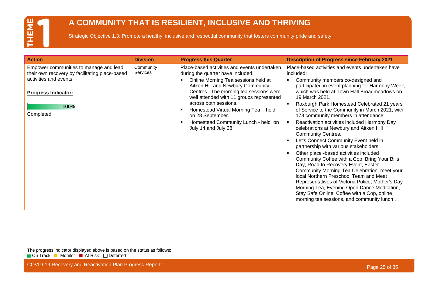#### **A COMMUNITY THAT IS RESILIENT, INCLUSIVE AND THRIVING**

Strategic Objective 1.3: Promote a healthy, inclusive and respectful community that fosters community pride and safety.

| <b>Action</b><br><b>Division</b><br><b>Progress this Quarter</b><br><b>Description of Progress since February 2021</b>                                                                                                                                                                                                                                                                                                                                                                                                                                                                                                                                                                                                                                                                                                                                                                                                                                                                                                                                                                                                                                                                                                                                                                                                                                                                                                                                                                                                                                                                                                                       |  |
|----------------------------------------------------------------------------------------------------------------------------------------------------------------------------------------------------------------------------------------------------------------------------------------------------------------------------------------------------------------------------------------------------------------------------------------------------------------------------------------------------------------------------------------------------------------------------------------------------------------------------------------------------------------------------------------------------------------------------------------------------------------------------------------------------------------------------------------------------------------------------------------------------------------------------------------------------------------------------------------------------------------------------------------------------------------------------------------------------------------------------------------------------------------------------------------------------------------------------------------------------------------------------------------------------------------------------------------------------------------------------------------------------------------------------------------------------------------------------------------------------------------------------------------------------------------------------------------------------------------------------------------------|--|
| Community<br>Empower communities to manage and lead<br>Place-based activities and events undertaken<br>Place-based activities and events undertaken have<br><b>Services</b><br>their own recovery by facilitating place-based<br>during the quarter have included:<br>included:<br>activities and events.<br>Online Morning Tea sessions held at<br>Community members co-designed and<br>п<br>Aitken Hill and Newbury Community<br>participated in event planning for Harmony Week,<br>Centres. The morning tea sessions were<br>which was held at Town Hall Broadmeadows on<br><b>Progress Indicator:</b><br>well attended with 11 groups represented<br>19 March 2021.<br>across both sessions.<br>Roxburgh Park Homestead Celebrated 21 years<br>100%<br>of Service to the Community in March 2021, with<br>Homestead Virtual Morning Tea - held<br>п<br>Completed<br>178 community members in attendance.<br>on 28 September.<br>Homestead Community Lunch - held on<br>Reactivation activities included Harmony Day<br>п<br>July 14 and July 28.<br>celebrations at Newbury and Aitken Hill<br><b>Community Centres.</b><br>Let's Connect Community Event held in<br>partnership with various stakeholders.<br>Other place -based activities included<br>Community Coffee with a Cop, Bring Your Bills<br>Day, Road to Recovery Event, Easter<br>Community Morning Tea Celebration, meet your<br>local Northern Preschool Team and Meet<br>Representatives of Victoria Police, Mother's Day<br>Morning Tea, Evening Open Dance Meditation,<br>Stay Safe Online, Coffee with a Cop, online<br>morning tea sessions, and community lunch. |  |

The progress indicator displayed above is based on the status as follows: On Track Monitor At Risk Deferred

COVID-19 Recovery and Reactivation Plan Progress Report **Page 25 of 35** COVID-19 Recovery and Reactivation Plan Progress Report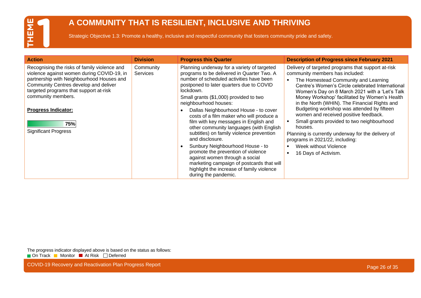#### **A COMMUNITY THAT IS RESILIENT, INCLUSIVE AND THRIVING**

Strategic Objective 1.3: Promote a healthy, inclusive and respectful community that fosters community pride and safety.

| <b>Action</b>                                                                                                                                                                                                                                                                  | <b>Division</b>              | <b>Progress this Quarter</b>                                                                                                                                                                                                                                                                                                                                                                                              | <b>Description of Progress since February 2021</b>                                                                                                                                                                                                                                                                                                                                  |
|--------------------------------------------------------------------------------------------------------------------------------------------------------------------------------------------------------------------------------------------------------------------------------|------------------------------|---------------------------------------------------------------------------------------------------------------------------------------------------------------------------------------------------------------------------------------------------------------------------------------------------------------------------------------------------------------------------------------------------------------------------|-------------------------------------------------------------------------------------------------------------------------------------------------------------------------------------------------------------------------------------------------------------------------------------------------------------------------------------------------------------------------------------|
| Recognising the risks of family violence and<br>violence against women during COVID-19, in<br>partnership with Neighbourhood Houses and<br>Community Centres develop and deliver<br>targeted programs that support at-risk<br>community members.<br><b>Progress Indicator:</b> | Community<br><b>Services</b> | Planning underway for a variety of targeted<br>programs to be delivered in Quarter Two. A<br>number of scheduled activities have been<br>postponed to later quarters due to COVID<br>lockdown.<br>Small grants (\$1,000) provided to two<br>neighbourhood houses:<br>Dallas Neighbourhood House - to cover                                                                                                                | Delivery of targeted programs that support at-risk<br>community members has included:<br>The Homestead Community and Learning<br>Centre's Women's Circle celebrated International<br>Women's Day on 8 March 2021 with a 'Let's Talk<br>Money Workshop' facilitated by Women's Health<br>in the North (WHIN). The Financial Rights and<br>Budgeting workshop was attended by fifteen |
| 75%<br><b>Significant Progress</b>                                                                                                                                                                                                                                             |                              | costs of a film maker who will produce a<br>film with key messages in English and<br>other community languages (with English<br>subtitles) on family violence prevention<br>and disclosure.<br>Sunbury Neighbourhood House - to<br>promote the prevention of violence<br>against women through a social<br>marketing campaign of postcards that will<br>highlight the increase of family violence<br>during the pandemic. | women and received positive feedback.<br>Small grants provided to two neighbourhood<br>houses.<br>Planning is currently underway for the delivery of<br>programs in 2021/22, including:<br>Week without Violence<br>$\blacksquare$<br>16 Days of Activism.<br>$\blacksquare$                                                                                                        |

The progress indicator displayed above is based on the status as follows: On Track Monitor At Risk Deferred

COVID-19 Recovery and Reactivation Plan Progress Report **Page 26 of 35** and 20 of 35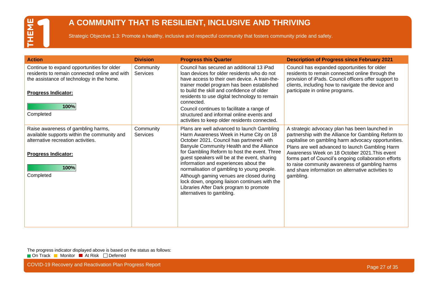#### **A COMMUNITY THAT IS RESILIENT, INCLUSIVE AND THRIVING**

Strategic Objective 1.3: Promote a healthy, inclusive and respectful community that fosters community pride and safety.

| <b>Action</b>                                                                                                                                                                               | <b>Division</b>              | <b>Progress this Quarter</b>                                                                                                                                                                                                                                                                                                                                                                                                                                                                                                              | <b>Description of Progress since February 2021</b>                                                                                                                                                                                                                                                                                                                                                                                              |
|---------------------------------------------------------------------------------------------------------------------------------------------------------------------------------------------|------------------------------|-------------------------------------------------------------------------------------------------------------------------------------------------------------------------------------------------------------------------------------------------------------------------------------------------------------------------------------------------------------------------------------------------------------------------------------------------------------------------------------------------------------------------------------------|-------------------------------------------------------------------------------------------------------------------------------------------------------------------------------------------------------------------------------------------------------------------------------------------------------------------------------------------------------------------------------------------------------------------------------------------------|
| Continue to expand opportunities for older<br>residents to remain connected online and with<br>the assistance of technology in the home.<br><b>Progress Indicator:</b><br>100%<br>Completed | Community<br><b>Services</b> | Council has secured an additional 13 iPad<br>loan devices for older residents who do not<br>have access to their own device. A train-the-<br>trainer model program has been established<br>to build the skill and confidence of older<br>residents to use digital technology to remain<br>connected.<br>Council continues to facilitate a range of<br>structured and informal online events and<br>activities to keep older residents connected.                                                                                          | Council has expanded opportunities for older<br>residents to remain connected online through the<br>provision of iPads. Council officers offer support to<br>clients, including how to navigate the device and<br>participate in online programs.                                                                                                                                                                                               |
| Raise awareness of gambling harms,<br>available supports within the community and<br>alternative recreation activities.<br><b>Progress Indicator:</b><br>100%<br>Completed                  | Community<br><b>Services</b> | Plans are well advanced to launch Gambling<br>Harm Awareness Week in Hume City on 18<br>October 2021. Council has partnered with<br>Banyule Community Health and the Alliance<br>for Gambling Reform to host the event. Three<br>guest speakers will be at the event, sharing<br>information and experiences about the<br>normalisation of gambling to young people.<br>Although gaming venues are closed during<br>lock down, ongoing liaison continues with the<br>Libraries After Dark program to promote<br>alternatives to gambling. | A strategic advocacy plan has been launched in<br>partnership with the Alliance for Gambling Reform to<br>capitalise on gambling harm advocacy opportunities.<br>Plans are well advanced to launch Gambling Harm<br>Awareness Week on 18 October 2021. This event<br>forms part of Council's ongoing collaboration efforts<br>to raise community awareness of gambling harms<br>and share information on alternative activities to<br>gambling. |

The progress indicator displayed above is based on the status as follows: On Track Monitor At Risk Deferred

COVID-19 Recovery and Reactivation Plan Progress Report **Page 27 of 35** COVID-19 Recovery and Reactivation Plan Progress Report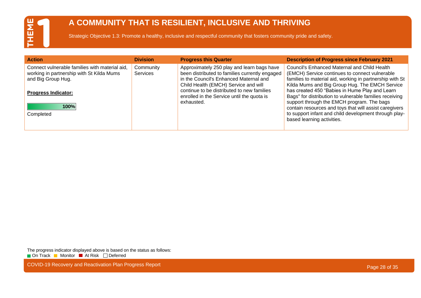#### **A COMMUNITY THAT IS RESILIENT, INCLUSIVE AND THRIVING**

Strategic Objective 1.3: Promote a healthy, inclusive and respectful community that fosters community pride and safety.

| <b>Action</b>                                                                                                     | <b>Division</b>              | <b>Progress this Quarter</b>                                                                                                                                                   | <b>Description of Progress since February 2021</b>                                                                                                                                                                  |
|-------------------------------------------------------------------------------------------------------------------|------------------------------|--------------------------------------------------------------------------------------------------------------------------------------------------------------------------------|---------------------------------------------------------------------------------------------------------------------------------------------------------------------------------------------------------------------|
| Connect vulnerable families with material aid,<br>working in partnership with St Kilda Mums<br>and Big Group Hug. | Community<br><b>Services</b> | Approximately 250 play and learn bags have<br>been distributed to families currently engaged<br>in the Council's Enhanced Maternal and<br>Child Health (EMCH) Service and will | <b>Council's Enhanced Maternal and Child Health</b><br>(EMCH) Service continues to connect vulnerable<br>families to material aid, working in partnership with St<br>Kilda Mums and Big Group Hug. The EMCH Service |
| <b>Progress Indicator:</b>                                                                                        |                              | continue to be distributed to new families<br>enrolled in the Service until the quota is<br>exhausted.                                                                         | has created 450 "Babies in Hume Play and Learn<br>Bags" for distribution to vulnerable families receiving<br>support through the EMCH program. The bags                                                             |
| 100%                                                                                                              |                              |                                                                                                                                                                                | contain resources and toys that will assist caregivers                                                                                                                                                              |
| Completed                                                                                                         |                              |                                                                                                                                                                                | to support infant and child development through play-<br>based learning activities.                                                                                                                                 |

The progress indicator displayed above is based on the status as follows: On Track Monitor At Risk Deferred

COVID-19 Recovery and Reactivation Plan Progress Report **Page 28 of 35** COVID-19 Recovery and Reactivation Plan Progress Report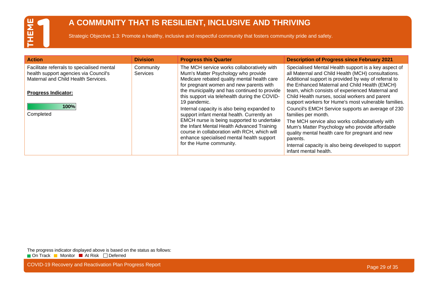#### **A COMMUNITY THAT IS RESILIENT, INCLUSIVE AND THRIVING**

Strategic Objective 1.3: Promote a healthy, inclusive and respectful community that fosters community pride and safety.

| <b>Action</b>                                                                                                                                            | <b>Division</b>              | <b>Progress this Quarter</b>                                                                                                                                                                                                                                                                                  | <b>Description of Progress since February 2021</b>                                                                                                                                                                                                                                                                                                                                |
|----------------------------------------------------------------------------------------------------------------------------------------------------------|------------------------------|---------------------------------------------------------------------------------------------------------------------------------------------------------------------------------------------------------------------------------------------------------------------------------------------------------------|-----------------------------------------------------------------------------------------------------------------------------------------------------------------------------------------------------------------------------------------------------------------------------------------------------------------------------------------------------------------------------------|
| Facilitate referrals to specialised mental<br>health support agencies via Council's<br>Maternal and Child Health Services.<br><b>Progress Indicator:</b> | Community<br><b>Services</b> | The MCH service works collaboratively with<br>Mum's Matter Psychology who provide<br>Medicare rebated quality mental health care<br>for pregnant women and new parents with<br>the municipality and has continued to provide<br>this support via telehealth during the COVID-<br>19 pandemic.                 | Specialised Mental Health support is a key aspect of<br>all Maternal and Child Health (MCH) consultations.<br>Additional support is provided by way of referral to<br>the Enhanced Maternal and Child Health (EMCH)<br>team, which consists of experienced Maternal and<br>Child Health nurses, social workers and parent<br>support workers for Hume's most vulnerable families. |
| 100%<br>Completed                                                                                                                                        |                              | Internal capacity is also being expanded to<br>support infant mental health. Currently an<br>EMCH nurse is being supported to undertake<br>the Infant Mental Health Advanced Training<br>course in collaboration with RCH, which will<br>enhance specialised mental health support<br>for the Hume community. | Council's EMCH Service supports an average of 230<br>families per month.<br>The MCH service also works collaboratively with<br>Mum's Matter Psychology who provide affordable<br>quality mental health care for pregnant and new<br>parents.<br>Internal capacity is also being developed to support<br>infant mental health.                                                     |

The progress indicator displayed above is based on the status as follows: On Track Monitor At Risk Deferred

COVID-19 Recovery and Reactivation Plan Progress Report **Page 29 of 35** COVID-19 Recovery and Reactivation Plan Progress Report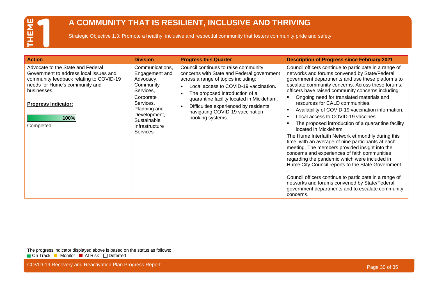#### **A COMMUNITY THAT IS RESILIENT, INCLUSIVE AND THRIVING**

Strategic Objective 1.3: Promote a healthy, inclusive and respectful community that fosters community pride and safety.

| <b>Action</b>                                                                                                                                                           | <b>Division</b>                                                                               | <b>Progress this Quarter</b>                                                                                                                                                                                                                      | <b>Description of Progress since February 2021</b>                                                                                                                                                                                                                                                                                                                                                                                                                                                                                                                                                                                                                                                                                                 |
|-------------------------------------------------------------------------------------------------------------------------------------------------------------------------|-----------------------------------------------------------------------------------------------|---------------------------------------------------------------------------------------------------------------------------------------------------------------------------------------------------------------------------------------------------|----------------------------------------------------------------------------------------------------------------------------------------------------------------------------------------------------------------------------------------------------------------------------------------------------------------------------------------------------------------------------------------------------------------------------------------------------------------------------------------------------------------------------------------------------------------------------------------------------------------------------------------------------------------------------------------------------------------------------------------------------|
| Advocate to the State and Federal<br>Government to address local issues and<br>community feedback relating to COVID-19<br>needs for Hume's community and<br>businesses. | Communications,<br>Engagement and<br>Advocacy,<br>Community<br>Services,<br>Corporate         | Council continues to raise community<br>concerns with State and Federal government<br>across a range of topics including:<br>Local access to COVID-19 vaccination.<br>The proposed introduction of a<br>quarantine facility located in Mickleham. | Council officers continue to participate in a range of<br>networks and forums convened by State/Federal<br>government departments and use these platforms to<br>escalate community concerns. Across these forums,<br>officers have raised community concerns including:<br>Ongoing need for translated materials and                                                                                                                                                                                                                                                                                                                                                                                                                               |
| <b>Progress Indicator:</b><br>100%<br>Completed                                                                                                                         | Services,<br>Planning and<br>Development,<br>Sustainable<br>Infrastructure<br><b>Services</b> | Difficulties experienced by residents<br>- 0<br>navigating COVID-19 vaccination<br>booking systems.                                                                                                                                               | resources for CALD communities.<br>Availability of COVID-19 vaccination information.<br>$\blacksquare$<br>Local access to COVID-19 vaccines<br>$\blacksquare$<br>The proposed introduction of a quarantine facility<br>$\blacksquare$<br>located in Mickleham<br>The Hume Interfaith Network et monthly during this<br>time, with an average of nine participants at each<br>meeting. The members provided insight into the<br>concerns and experiences of faith communities<br>regarding the pandemic which were included in<br>Hume City Council reports to the State Government.<br>Council officers continue to participate in a range of<br>networks and forums convened by State/Federal<br>government departments and to escalate community |

The progress indicator displayed above is based on the status as follows: On Track Monitor At Risk Deferred

COVID-19 Recovery and Reactivation Plan Progress Report **Page 30 of 35** COVID-19 Recovery and Reactivation Plan Progress Report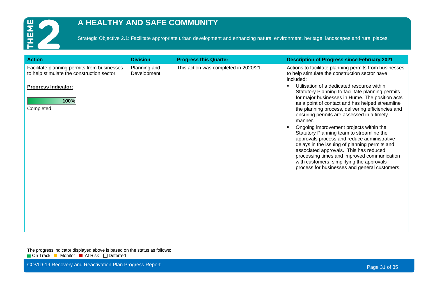

#### **A HEALTHY AND SAFE COMMUNITY**

Strategic Objective 2.1: Facilitate appropriate urban development and enhancing natural environment, heritage, landscapes and rural places.

| <b>Progress this Quarter</b><br><b>Description of Progress since February 2021</b><br><b>Division</b><br><b>Action</b>                                                                                                                                                                                                                                                                                                                                                                                                                                                                                                                                                                                                                                                                                                                                                                                                                                                                                                                                               |  |
|----------------------------------------------------------------------------------------------------------------------------------------------------------------------------------------------------------------------------------------------------------------------------------------------------------------------------------------------------------------------------------------------------------------------------------------------------------------------------------------------------------------------------------------------------------------------------------------------------------------------------------------------------------------------------------------------------------------------------------------------------------------------------------------------------------------------------------------------------------------------------------------------------------------------------------------------------------------------------------------------------------------------------------------------------------------------|--|
| Planning and<br>This action was completed in 2020/21.<br>Facilitate planning permits from businesses<br>Actions to facilitate planning permits from businesses<br>to help stimulate the construction sector have<br>to help stimulate the construction sector.<br>Development<br>included:<br>Utilisation of a dedicated resource within<br>$\blacksquare$<br><b>Progress Indicator:</b><br>Statutory Planning to facilitate planning permits<br>for major businesses in Hume. The position acts<br>100%<br>as a point of contact and has helped streamline<br>Completed<br>the planning process, delivering efficiencies and<br>ensuring permits are assessed in a timely<br>manner.<br>Ongoing improvement projects within the<br>Statutory Planning team to streamline the<br>approvals process and reduce administrative<br>delays in the issuing of planning permits and<br>associated approvals. This has reduced<br>processing times and improved communication<br>with customers, simplifying the approvals<br>process for businesses and general customers. |  |

The progress indicator displayed above is based on the status as follows: On Track Monitor At Risk Deferred

COVID-19 Recovery and Reactivation Plan Progress Report **Page 31 of 35** COVID-19 Recovery and Reactivation Plan Progress Report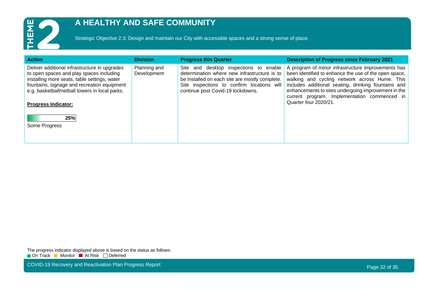

#### **A HEALTHY AND SAFE COMMUNITY**

Strategic Objective 2.3: Design and maintain our City with accessible spaces and a strong sense of place.

| <b>Action</b>                                                                                                                                                                                                                                                                                    | <b>Division</b>             | <b>Progress this Quarter</b>                                                                                                                                                                                                   | <b>Description of Progress since February 2021</b>                                                                                                                                                                                                                                                                                                  |
|--------------------------------------------------------------------------------------------------------------------------------------------------------------------------------------------------------------------------------------------------------------------------------------------------|-----------------------------|--------------------------------------------------------------------------------------------------------------------------------------------------------------------------------------------------------------------------------|-----------------------------------------------------------------------------------------------------------------------------------------------------------------------------------------------------------------------------------------------------------------------------------------------------------------------------------------------------|
| Deliver additional infrastructure in upgrades<br>to open spaces and play spaces including<br>installing more seats, table settings, water<br>fountains, signage and recreation equipment<br>e.g. basketball/netball towers in local parks.<br><b>Progress Indicator:</b><br>25%<br>Some Progress | Planning and<br>Development | and desktop inspections to enable<br>Site<br>determination where new infrastructure is to<br>be installed on each site are mostly complete.<br>Site inspections to confirm locations will<br>continue post Covid-19 lockdowns. | A program of minor infrastructure improvements has<br>been identified to enhance the use of the open space,<br>walking and cycling network across Hume. This<br>includes additional seating, drinking fountains and<br>enhancements to sites undergoing improvement in the<br>current program. Implementation commenced in<br>Quarter four 2020/21. |
|                                                                                                                                                                                                                                                                                                  |                             |                                                                                                                                                                                                                                |                                                                                                                                                                                                                                                                                                                                                     |

The progress indicator displayed above is based on the status as follows: On Track Monitor At Risk Deferred

COVID-19 Recovery and Reactivation Plan Progress Report **Page 32 of 35** and 20 of 35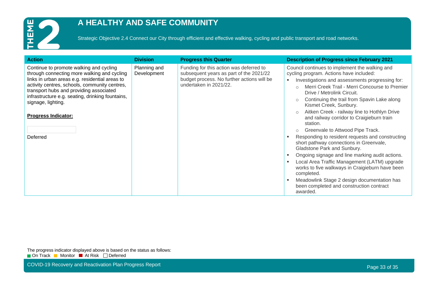

#### **A HEALTHY AND SAFE COMMUNITY**

Strategic Objective 2.4 Connect our City through efficient and effective walking, cycling and public transport and road networks.

| <b>Action</b>                                                                                                                                                                                                                                                                                                                                            | <b>Division</b>             | <b>Progress this Quarter</b>                                                                                                                               | <b>Description of Progress since February 2021</b>                                                                                                                                                                                                                                                                                                                                                                                                                                                                                                                                                                                                                                                                                                                                                                                                                                |
|----------------------------------------------------------------------------------------------------------------------------------------------------------------------------------------------------------------------------------------------------------------------------------------------------------------------------------------------------------|-----------------------------|------------------------------------------------------------------------------------------------------------------------------------------------------------|-----------------------------------------------------------------------------------------------------------------------------------------------------------------------------------------------------------------------------------------------------------------------------------------------------------------------------------------------------------------------------------------------------------------------------------------------------------------------------------------------------------------------------------------------------------------------------------------------------------------------------------------------------------------------------------------------------------------------------------------------------------------------------------------------------------------------------------------------------------------------------------|
| Continue to promote walking and cycling<br>through connecting more walking and cycling<br>links in urban areas e.g. residential areas to<br>activity centres, schools, community centres,<br>transport hubs and providing associated<br>infrastructure e.g. seating, drinking fountains,<br>signage, lighting.<br><b>Progress Indicator:</b><br>Deferred | Planning and<br>Development | Funding for this action was deferred to<br>subsequent years as part of the 2021/22<br>budget process. No further actions will be<br>undertaken in 2021/22. | Council continues to implement the walking and<br>cycling program. Actions have included:<br>Investigations and assessments progressing for:<br>Merri Creek Trail - Merri Concourse to Premier<br>Drive / Metrolink Circuit.<br>Continuing the trail from Spavin Lake along<br>$\circ$<br>Kismet Creek, Sunbury.<br>Aitken Creek - railway line to Hothlyn Drive<br>and railway corridor to Craigieburn train<br>station.<br>Greenvale to Attwood Pipe Track.<br>$\circ$<br>Responding to resident requests and constructing<br>short pathway connections in Greenvale,<br>Gladstone Park and Sunbury.<br>Ongoing signage and line marking audit actions.<br>Local Area Traffic Management (LATM) upgrade<br>works to five walkways in Craigieburn have been<br>completed.<br>Meadowlink Stage 2 design documentation has<br>been completed and construction contract<br>awarded. |

The progress indicator displayed above is based on the status as follows: On Track Monitor At Risk Deferred

COVID-19 Recovery and Reactivation Plan Progress Report **Page 33 of 35** of 35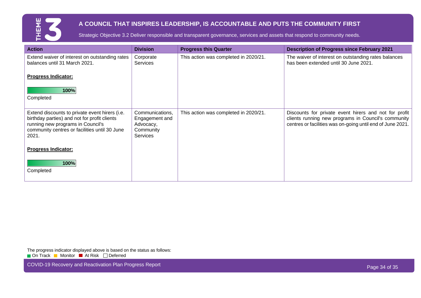

#### **A COUNCIL THAT INSPIRES LEADERSHIP, IS ACCOUNTABLE AND PUTS THE COMMUNITY FIRST**

Strategic Objective 3.2 Deliver responsible and transparent governance, services and assets that respond to community needs.

| <b>Action</b>                                                                                                                                                                                 | <b>Division</b>                                                                | <b>Progress this Quarter</b>          | <b>Description of Progress since February 2021</b>                                                                                                                         |
|-----------------------------------------------------------------------------------------------------------------------------------------------------------------------------------------------|--------------------------------------------------------------------------------|---------------------------------------|----------------------------------------------------------------------------------------------------------------------------------------------------------------------------|
| Extend waiver of interest on outstanding rates<br>balances until 31 March 2021.                                                                                                               | Corporate<br><b>Services</b>                                                   | This action was completed in 2020/21. | The waiver of interest on outstanding rates balances<br>has been extended until 30 June 2021.                                                                              |
| <b>Progress Indicator:</b>                                                                                                                                                                    |                                                                                |                                       |                                                                                                                                                                            |
| 100%<br>Completed                                                                                                                                                                             |                                                                                |                                       |                                                                                                                                                                            |
|                                                                                                                                                                                               |                                                                                |                                       |                                                                                                                                                                            |
| Extend discounts to private event hirers (i.e.<br>birthday parties) and not for profit clients<br>running new programs in Council's<br>community centres or facilities until 30 June<br>2021. | Communications,<br>Engagement and<br>Advocacy,<br>Community<br><b>Services</b> | This action was completed in 2020/21. | Discounts for private event hirers and not for profit<br>clients running new programs in Council's community<br>centres or facilities was on-going until end of June 2021. |
| <b>Progress Indicator:</b>                                                                                                                                                                    |                                                                                |                                       |                                                                                                                                                                            |
| 100%<br>Completed                                                                                                                                                                             |                                                                                |                                       |                                                                                                                                                                            |
|                                                                                                                                                                                               |                                                                                |                                       |                                                                                                                                                                            |

The progress indicator displayed above is based on the status as follows: On Track Monitor At Risk Deferred

COVID-19 Recovery and Reactivation Plan Progress Report **Page 34 of 35** COVID-19 Recovery and Reactivation Plan Progress Report